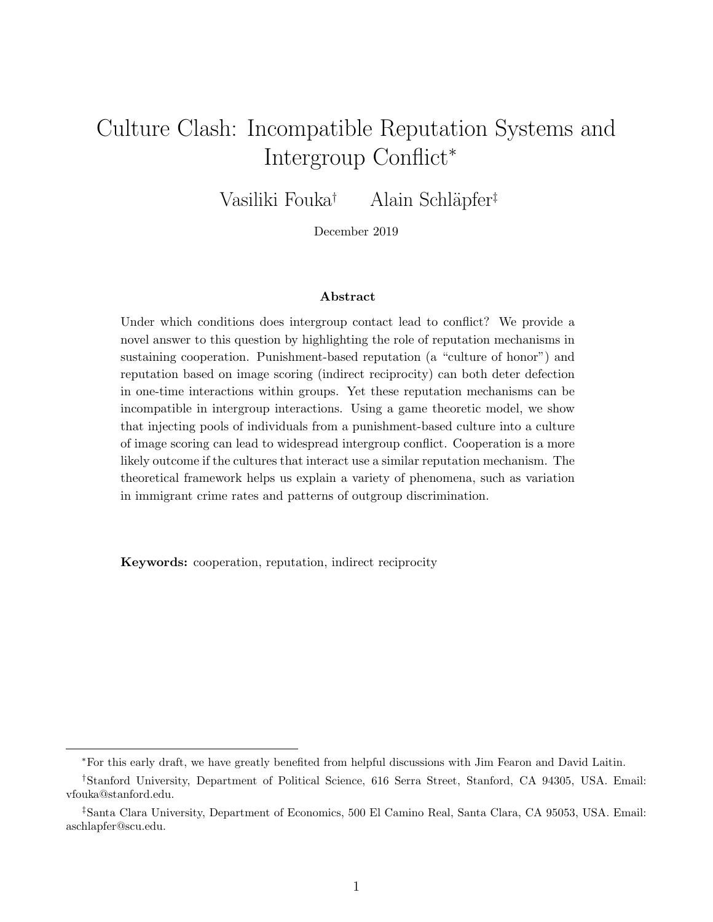# Culture Clash: Incompatible Reputation Systems and Intergroup Conflict<sup>∗</sup>

Vasiliki Fouka<sup>†</sup> Alain Schläpfer<sup>‡</sup>

December 2019

#### Abstract

Under which conditions does intergroup contact lead to conflict? We provide a novel answer to this question by highlighting the role of reputation mechanisms in sustaining cooperation. Punishment-based reputation (a "culture of honor") and reputation based on image scoring (indirect reciprocity) can both deter defection in one-time interactions within groups. Yet these reputation mechanisms can be incompatible in intergroup interactions. Using a game theoretic model, we show that injecting pools of individuals from a punishment-based culture into a culture of image scoring can lead to widespread intergroup conflict. Cooperation is a more likely outcome if the cultures that interact use a similar reputation mechanism. The theoretical framework helps us explain a variety of phenomena, such as variation in immigrant crime rates and patterns of outgroup discrimination.

Keywords: cooperation, reputation, indirect reciprocity

<sup>∗</sup>For this early draft, we have greatly benefited from helpful discussions with Jim Fearon and David Laitin.

<sup>†</sup>Stanford University, Department of Political Science, 616 Serra Street, Stanford, CA 94305, USA. Email: vfouka@stanford.edu.

<sup>‡</sup>Santa Clara University, Department of Economics, 500 El Camino Real, Santa Clara, CA 95053, USA. Email: aschlapfer@scu.edu.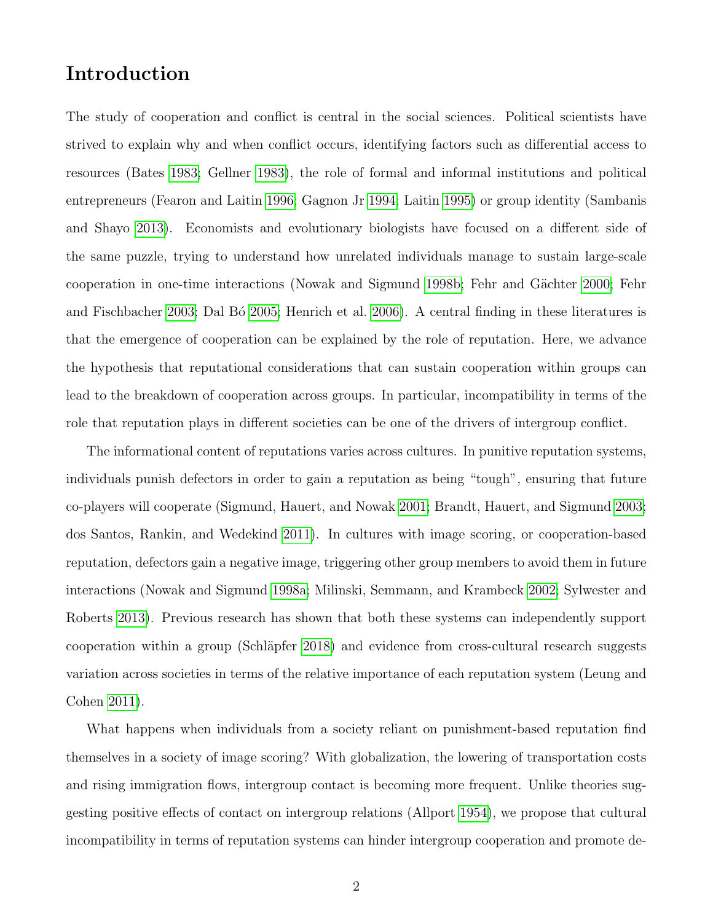## Introduction

The study of cooperation and conflict is central in the social sciences. Political scientists have strived to explain why and when conflict occurs, identifying factors such as differential access to resources (Bates [1983;](#page-28-0) Gellner [1983\)](#page-30-0), the role of formal and informal institutions and political entrepreneurs (Fearon and Laitin [1996;](#page-29-0) Gagnon Jr [1994;](#page-30-1) Laitin [1995\)](#page-31-0) or group identity (Sambanis and Shayo [2013\)](#page-32-0). Economists and evolutionary biologists have focused on a different side of the same puzzle, trying to understand how unrelated individuals manage to sustain large-scale cooperation in one-time interactions (Nowak and Sigmund [1998b;](#page-32-1) Fehr and Gächter [2000;](#page-29-1) Fehr and Fischbacher [2003;](#page-29-2) Dal Bó [2005;](#page-29-3) Henrich et al. [2006\)](#page-30-2). A central finding in these literatures is that the emergence of cooperation can be explained by the role of reputation. Here, we advance the hypothesis that reputational considerations that can sustain cooperation within groups can lead to the breakdown of cooperation across groups. In particular, incompatibility in terms of the role that reputation plays in different societies can be one of the drivers of intergroup conflict.

The informational content of reputations varies across cultures. In punitive reputation systems, individuals punish defectors in order to gain a reputation as being "tough", ensuring that future co-players will cooperate (Sigmund, Hauert, and Nowak [2001;](#page-32-2) Brandt, Hauert, and Sigmund [2003;](#page-28-1) dos Santos, Rankin, and Wedekind [2011\)](#page-29-4). In cultures with image scoring, or cooperation-based reputation, defectors gain a negative image, triggering other group members to avoid them in future interactions (Nowak and Sigmund [1998a;](#page-31-1) Milinski, Semmann, and Krambeck [2002;](#page-31-2) Sylwester and Roberts [2013\)](#page-32-3). Previous research has shown that both these systems can independently support cooperation within a group (Schläpfer [2018\)](#page-32-4) and evidence from cross-cultural research suggests variation across societies in terms of the relative importance of each reputation system (Leung and Cohen [2011\)](#page-31-3).

What happens when individuals from a society reliant on punishment-based reputation find themselves in a society of image scoring? With globalization, the lowering of transportation costs and rising immigration flows, intergroup contact is becoming more frequent. Unlike theories suggesting positive effects of contact on intergroup relations (Allport [1954\)](#page-28-2), we propose that cultural incompatibility in terms of reputation systems can hinder intergroup cooperation and promote de-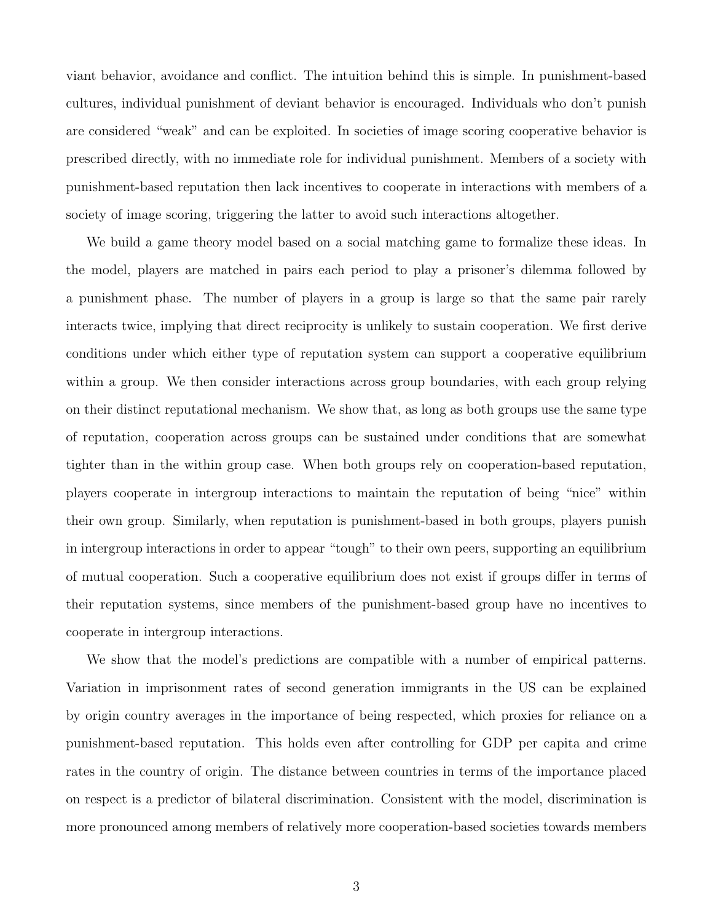viant behavior, avoidance and conflict. The intuition behind this is simple. In punishment-based cultures, individual punishment of deviant behavior is encouraged. Individuals who don't punish are considered "weak" and can be exploited. In societies of image scoring cooperative behavior is prescribed directly, with no immediate role for individual punishment. Members of a society with punishment-based reputation then lack incentives to cooperate in interactions with members of a society of image scoring, triggering the latter to avoid such interactions altogether.

We build a game theory model based on a social matching game to formalize these ideas. In the model, players are matched in pairs each period to play a prisoner's dilemma followed by a punishment phase. The number of players in a group is large so that the same pair rarely interacts twice, implying that direct reciprocity is unlikely to sustain cooperation. We first derive conditions under which either type of reputation system can support a cooperative equilibrium within a group. We then consider interactions across group boundaries, with each group relying on their distinct reputational mechanism. We show that, as long as both groups use the same type of reputation, cooperation across groups can be sustained under conditions that are somewhat tighter than in the within group case. When both groups rely on cooperation-based reputation, players cooperate in intergroup interactions to maintain the reputation of being "nice" within their own group. Similarly, when reputation is punishment-based in both groups, players punish in intergroup interactions in order to appear "tough" to their own peers, supporting an equilibrium of mutual cooperation. Such a cooperative equilibrium does not exist if groups differ in terms of their reputation systems, since members of the punishment-based group have no incentives to cooperate in intergroup interactions.

We show that the model's predictions are compatible with a number of empirical patterns. Variation in imprisonment rates of second generation immigrants in the US can be explained by origin country averages in the importance of being respected, which proxies for reliance on a punishment-based reputation. This holds even after controlling for GDP per capita and crime rates in the country of origin. The distance between countries in terms of the importance placed on respect is a predictor of bilateral discrimination. Consistent with the model, discrimination is more pronounced among members of relatively more cooperation-based societies towards members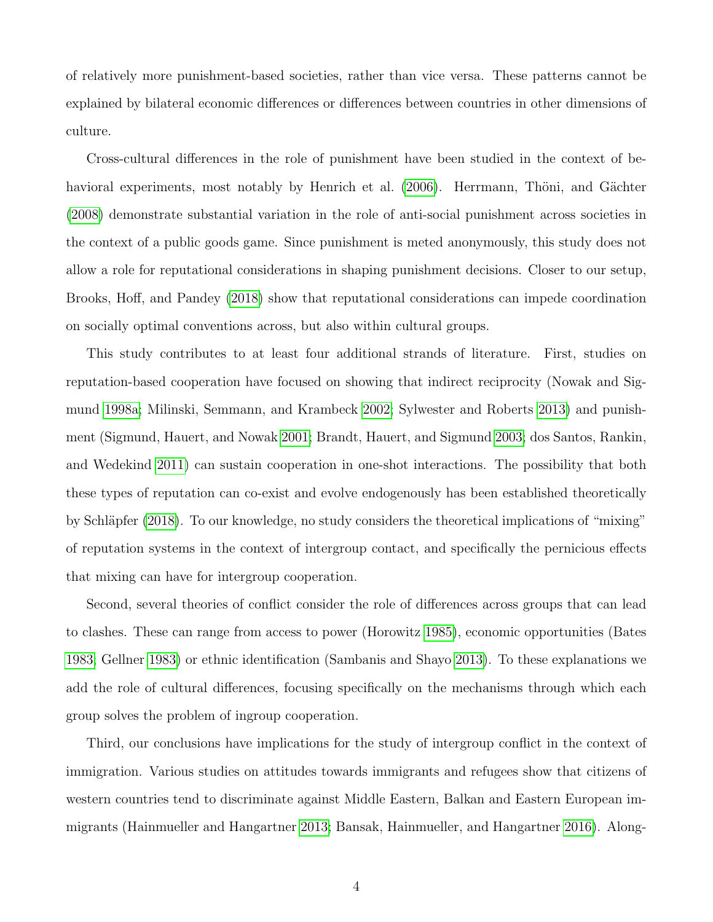of relatively more punishment-based societies, rather than vice versa. These patterns cannot be explained by bilateral economic differences or differences between countries in other dimensions of culture.

Cross-cultural differences in the role of punishment have been studied in the context of be-havioral experiments, most notably by Henrich et al. [\(2006\)](#page-30-2). Herrmann, Thöni, and Gächter [\(2008\)](#page-30-3) demonstrate substantial variation in the role of anti-social punishment across societies in the context of a public goods game. Since punishment is meted anonymously, this study does not allow a role for reputational considerations in shaping punishment decisions. Closer to our setup, Brooks, Hoff, and Pandey [\(2018\)](#page-29-5) show that reputational considerations can impede coordination on socially optimal conventions across, but also within cultural groups.

This study contributes to at least four additional strands of literature. First, studies on reputation-based cooperation have focused on showing that indirect reciprocity (Nowak and Sigmund [1998a;](#page-31-1) Milinski, Semmann, and Krambeck [2002;](#page-31-2) Sylwester and Roberts [2013\)](#page-32-3) and punishment (Sigmund, Hauert, and Nowak [2001;](#page-32-2) Brandt, Hauert, and Sigmund [2003;](#page-28-1) dos Santos, Rankin, and Wedekind [2011\)](#page-29-4) can sustain cooperation in one-shot interactions. The possibility that both these types of reputation can co-exist and evolve endogenously has been established theoretically by Schläpfer [\(2018\)](#page-32-4). To our knowledge, no study considers the theoretical implications of "mixing" of reputation systems in the context of intergroup contact, and specifically the pernicious effects that mixing can have for intergroup cooperation.

Second, several theories of conflict consider the role of differences across groups that can lead to clashes. These can range from access to power (Horowitz [1985\)](#page-30-4), economic opportunities (Bates [1983;](#page-28-0) Gellner [1983\)](#page-30-0) or ethnic identification (Sambanis and Shayo [2013\)](#page-32-0). To these explanations we add the role of cultural differences, focusing specifically on the mechanisms through which each group solves the problem of ingroup cooperation.

Third, our conclusions have implications for the study of intergroup conflict in the context of immigration. Various studies on attitudes towards immigrants and refugees show that citizens of western countries tend to discriminate against Middle Eastern, Balkan and Eastern European immigrants (Hainmueller and Hangartner [2013;](#page-30-5) Bansak, Hainmueller, and Hangartner [2016\)](#page-28-3). Along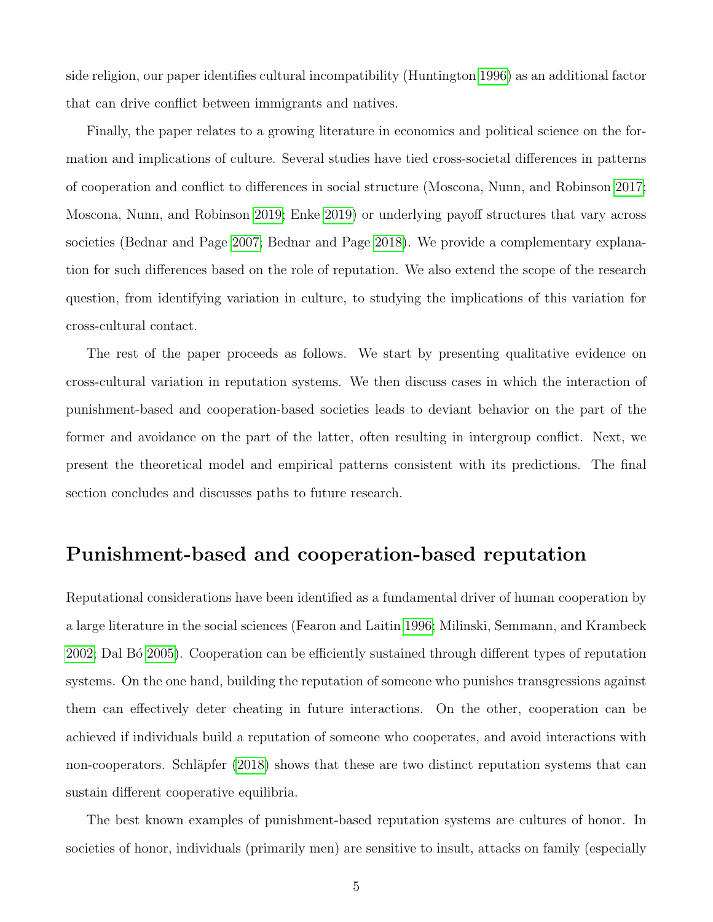side religion, our paper identifies cultural incompatibility (Huntington [1996\)](#page-31-4) as an additional factor that can drive conflict between immigrants and natives.

Finally, the paper relates to a growing literature in economics and political science on the formation and implications of culture. Several studies have tied cross-societal differences in patterns of cooperation and conflict to differences in social structure (Moscona, Nunn, and Robinson [2017;](#page-31-5) Moscona, Nunn, and Robinson [2019;](#page-31-6) Enke [2019\)](#page-29-6) or underlying payoff structures that vary across societies (Bednar and Page [2007;](#page-28-4) Bednar and Page [2018\)](#page-28-5). We provide a complementary explanation for such differences based on the role of reputation. We also extend the scope of the research question, from identifying variation in culture, to studying the implications of this variation for cross-cultural contact.

The rest of the paper proceeds as follows. We start by presenting qualitative evidence on cross-cultural variation in reputation systems. We then discuss cases in which the interaction of punishment-based and cooperation-based societies leads to deviant behavior on the part of the former and avoidance on the part of the latter, often resulting in intergroup conflict. Next, we present the theoretical model and empirical patterns consistent with its predictions. The final section concludes and discusses paths to future research.

### Punishment-based and cooperation-based reputation

Reputational considerations have been identified as a fundamental driver of human cooperation by a large literature in the social sciences (Fearon and Laitin [1996;](#page-29-0) Milinski, Semmann, and Krambeck [2002;](#page-31-2) Dal B´o [2005\)](#page-29-3). Cooperation can be efficiently sustained through different types of reputation systems. On the one hand, building the reputation of someone who punishes transgressions against them can effectively deter cheating in future interactions. On the other, cooperation can be achieved if individuals build a reputation of someone who cooperates, and avoid interactions with non-cooperators. Schläpfer [\(2018\)](#page-32-4) shows that these are two distinct reputation systems that can sustain different cooperative equilibria.

The best known examples of punishment-based reputation systems are cultures of honor. In societies of honor, individuals (primarily men) are sensitive to insult, attacks on family (especially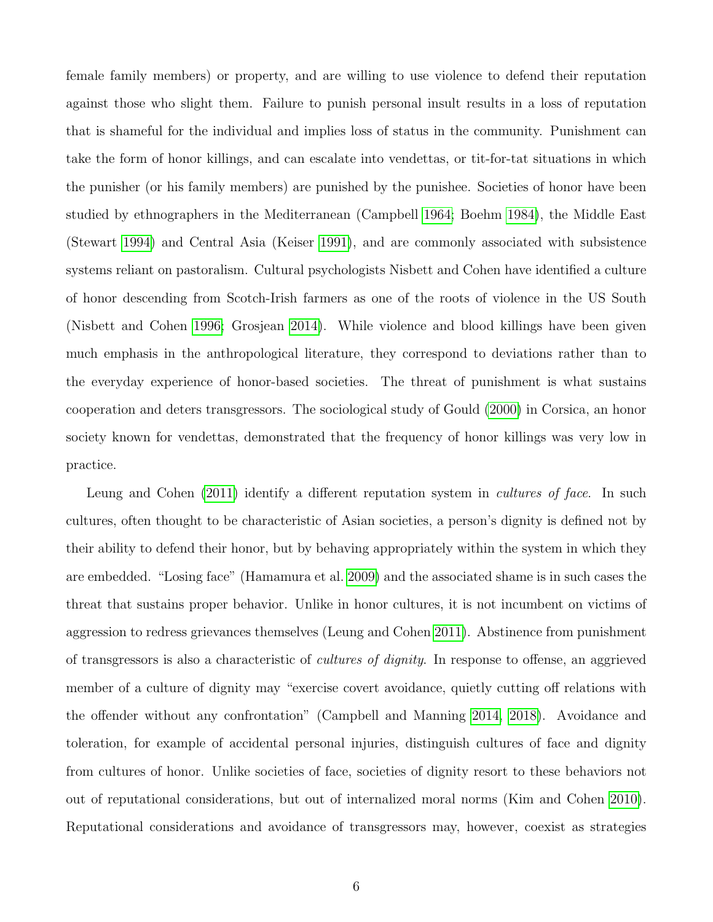female family members) or property, and are willing to use violence to defend their reputation against those who slight them. Failure to punish personal insult results in a loss of reputation that is shameful for the individual and implies loss of status in the community. Punishment can take the form of honor killings, and can escalate into vendettas, or tit-for-tat situations in which the punisher (or his family members) are punished by the punishee. Societies of honor have been studied by ethnographers in the Mediterranean (Campbell [1964;](#page-29-7) Boehm [1984\)](#page-28-6), the Middle East (Stewart [1994\)](#page-32-5) and Central Asia (Keiser [1991\)](#page-31-7), and are commonly associated with subsistence systems reliant on pastoralism. Cultural psychologists Nisbett and Cohen have identified a culture of honor descending from Scotch-Irish farmers as one of the roots of violence in the US South (Nisbett and Cohen [1996;](#page-31-8) Grosjean [2014\)](#page-30-6). While violence and blood killings have been given much emphasis in the anthropological literature, they correspond to deviations rather than to the everyday experience of honor-based societies. The threat of punishment is what sustains cooperation and deters transgressors. The sociological study of Gould [\(2000\)](#page-30-7) in Corsica, an honor society known for vendettas, demonstrated that the frequency of honor killings was very low in practice.

Leung and Cohen [\(2011\)](#page-31-3) identify a different reputation system in *cultures of face*. In such cultures, often thought to be characteristic of Asian societies, a person's dignity is defined not by their ability to defend their honor, but by behaving appropriately within the system in which they are embedded. "Losing face" (Hamamura et al. [2009\)](#page-30-8) and the associated shame is in such cases the threat that sustains proper behavior. Unlike in honor cultures, it is not incumbent on victims of aggression to redress grievances themselves (Leung and Cohen [2011\)](#page-31-3). Abstinence from punishment of transgressors is also a characteristic of cultures of dignity. In response to offense, an aggrieved member of a culture of dignity may "exercise covert avoidance, quietly cutting off relations with the offender without any confrontation" (Campbell and Manning [2014,](#page-29-8) [2018\)](#page-29-9). Avoidance and toleration, for example of accidental personal injuries, distinguish cultures of face and dignity from cultures of honor. Unlike societies of face, societies of dignity resort to these behaviors not out of reputational considerations, but out of internalized moral norms (Kim and Cohen [2010\)](#page-31-9). Reputational considerations and avoidance of transgressors may, however, coexist as strategies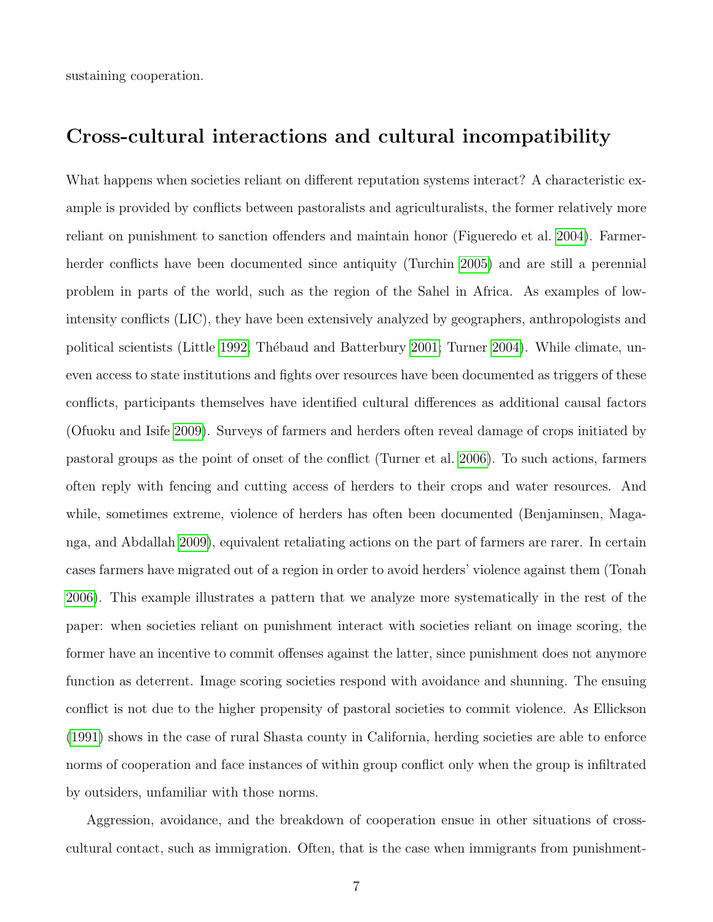sustaining cooperation.

# Cross-cultural interactions and cultural incompatibility

What happens when societies reliant on different reputation systems interact? A characteristic example is provided by conflicts between pastoralists and agriculturalists, the former relatively more reliant on punishment to sanction offenders and maintain honor (Figueredo et al. [2004\)](#page-30-9). Farmerherder conflicts have been documented since antiquity (Turchin [2005\)](#page-33-0) and are still a perennial problem in parts of the world, such as the region of the Sahel in Africa. As examples of lowintensity conflicts (LIC), they have been extensively analyzed by geographers, anthropologists and political scientists (Little [1992;](#page-31-10) Thébaud and Batterbury [2001;](#page-33-1) Turner [2004\)](#page-33-2). While climate, uneven access to state institutions and fights over resources have been documented as triggers of these conflicts, participants themselves have identified cultural differences as additional causal factors (Ofuoku and Isife [2009\)](#page-32-6). Surveys of farmers and herders often reveal damage of crops initiated by pastoral groups as the point of onset of the conflict (Turner et al. [2006\)](#page-33-3). To such actions, farmers often reply with fencing and cutting access of herders to their crops and water resources. And while, sometimes extreme, violence of herders has often been documented (Benjaminsen, Maganga, and Abdallah [2009\)](#page-28-7), equivalent retaliating actions on the part of farmers are rarer. In certain cases farmers have migrated out of a region in order to avoid herders' violence against them (Tonah [2006\)](#page-33-4). This example illustrates a pattern that we analyze more systematically in the rest of the paper: when societies reliant on punishment interact with societies reliant on image scoring, the former have an incentive to commit offenses against the latter, since punishment does not anymore function as deterrent. Image scoring societies respond with avoidance and shunning. The ensuing conflict is not due to the higher propensity of pastoral societies to commit violence. As Ellickson [\(1991\)](#page-29-10) shows in the case of rural Shasta county in California, herding societies are able to enforce norms of cooperation and face instances of within group conflict only when the group is infiltrated by outsiders, unfamiliar with those norms.

Aggression, avoidance, and the breakdown of cooperation ensue in other situations of crosscultural contact, such as immigration. Often, that is the case when immigrants from punishment-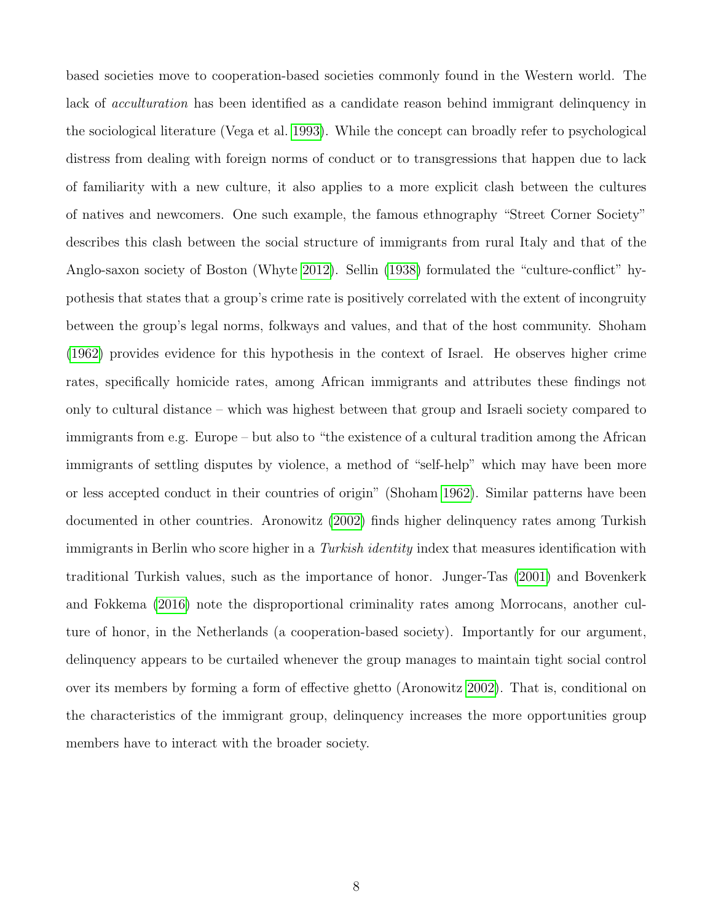based societies move to cooperation-based societies commonly found in the Western world. The lack of *acculturation* has been identified as a candidate reason behind immigrant delinquency in the sociological literature (Vega et al. [1993\)](#page-33-5). While the concept can broadly refer to psychological distress from dealing with foreign norms of conduct or to transgressions that happen due to lack of familiarity with a new culture, it also applies to a more explicit clash between the cultures of natives and newcomers. One such example, the famous ethnography "Street Corner Society" describes this clash between the social structure of immigrants from rural Italy and that of the Anglo-saxon society of Boston (Whyte [2012\)](#page-33-6). Sellin [\(1938\)](#page-32-7) formulated the "culture-conflict" hypothesis that states that a group's crime rate is positively correlated with the extent of incongruity between the group's legal norms, folkways and values, and that of the host community. Shoham [\(1962\)](#page-32-8) provides evidence for this hypothesis in the context of Israel. He observes higher crime rates, specifically homicide rates, among African immigrants and attributes these findings not only to cultural distance – which was highest between that group and Israeli society compared to immigrants from e.g. Europe – but also to "the existence of a cultural tradition among the African immigrants of settling disputes by violence, a method of "self-help" which may have been more or less accepted conduct in their countries of origin" (Shoham [1962\)](#page-32-8). Similar patterns have been documented in other countries. Aronowitz [\(2002\)](#page-28-8) finds higher delinquency rates among Turkish immigrants in Berlin who score higher in a Turkish identity index that measures identification with traditional Turkish values, such as the importance of honor. Junger-Tas [\(2001\)](#page-31-11) and Bovenkerk and Fokkema [\(2016\)](#page-28-9) note the disproportional criminality rates among Morrocans, another culture of honor, in the Netherlands (a cooperation-based society). Importantly for our argument, delinquency appears to be curtailed whenever the group manages to maintain tight social control over its members by forming a form of effective ghetto (Aronowitz [2002\)](#page-28-8). That is, conditional on the characteristics of the immigrant group, delinquency increases the more opportunities group members have to interact with the broader society.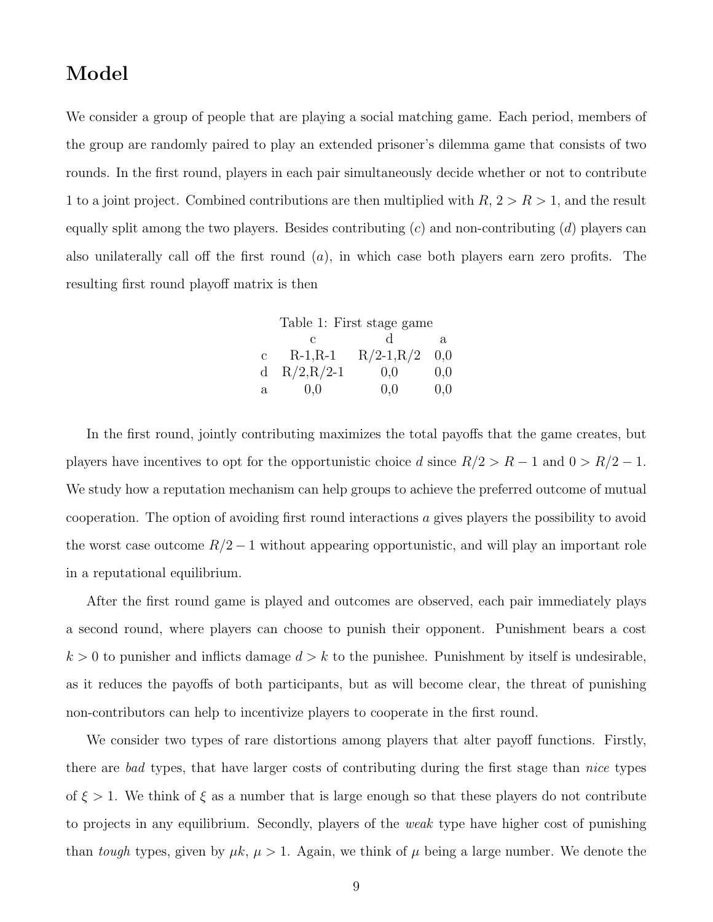## Model

We consider a group of people that are playing a social matching game. Each period, members of the group are randomly paired to play an extended prisoner's dilemma game that consists of two rounds. In the first round, players in each pair simultaneously decide whether or not to contribute 1 to a joint project. Combined contributions are then multiplied with  $R$ ,  $2 > R > 1$ , and the result equally split among the two players. Besides contributing  $(c)$  and non-contributing  $(d)$  players can also unilaterally call off the first round  $(a)$ , in which case both players earn zero profits. The resulting first round playoff matrix is then

<span id="page-8-0"></span>

|              | Table 1: First stage game |              |     |  |  |  |  |  |
|--------------|---------------------------|--------------|-----|--|--|--|--|--|
|              |                           |              | a   |  |  |  |  |  |
| $\mathbf{c}$ | $R-1, R-1$                | $R/2-1, R/2$ | 0,0 |  |  |  |  |  |
| d            | $R/2, R/2-1$              | 0.0          | 0,0 |  |  |  |  |  |
| а            | 0.0                       | 0,0          | 0,0 |  |  |  |  |  |

In the first round, jointly contributing maximizes the total payoffs that the game creates, but players have incentives to opt for the opportunistic choice d since  $R/2 > R - 1$  and  $0 > R/2 - 1$ . We study how a reputation mechanism can help groups to achieve the preferred outcome of mutual cooperation. The option of avoiding first round interactions a gives players the possibility to avoid the worst case outcome  $R/2 - 1$  without appearing opportunistic, and will play an important role in a reputational equilibrium.

After the first round game is played and outcomes are observed, each pair immediately plays a second round, where players can choose to punish their opponent. Punishment bears a cost  $k > 0$  to punisher and inflicts damage  $d > k$  to the punishee. Punishment by itself is undesirable, as it reduces the payoffs of both participants, but as will become clear, the threat of punishing non-contributors can help to incentivize players to cooperate in the first round.

We consider two types of rare distortions among players that alter payoff functions. Firstly, there are bad types, that have larger costs of contributing during the first stage than *nice* types of  $\xi > 1$ . We think of  $\xi$  as a number that is large enough so that these players do not contribute to projects in any equilibrium. Secondly, players of the *weak* type have higher cost of punishing than tough types, given by  $\mu k$ ,  $\mu > 1$ . Again, we think of  $\mu$  being a large number. We denote the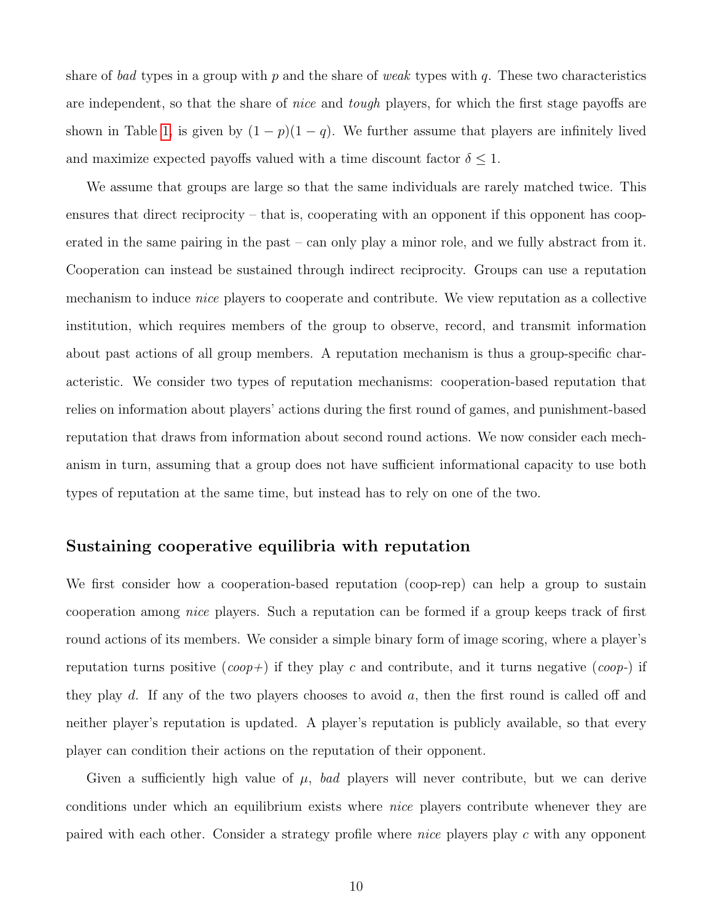share of bad types in a group with p and the share of weak types with q. These two characteristics are independent, so that the share of *nice* and *tough* players, for which the first stage payoffs are shown in Table [1,](#page-8-0) is given by  $(1 - p)(1 - q)$ . We further assume that players are infinitely lived and maximize expected payoffs valued with a time discount factor  $\delta \leq 1$ .

We assume that groups are large so that the same individuals are rarely matched twice. This ensures that direct reciprocity – that is, cooperating with an opponent if this opponent has cooperated in the same pairing in the past – can only play a minor role, and we fully abstract from it. Cooperation can instead be sustained through indirect reciprocity. Groups can use a reputation mechanism to induce *nice* players to cooperate and contribute. We view reputation as a collective institution, which requires members of the group to observe, record, and transmit information about past actions of all group members. A reputation mechanism is thus a group-specific characteristic. We consider two types of reputation mechanisms: cooperation-based reputation that relies on information about players' actions during the first round of games, and punishment-based reputation that draws from information about second round actions. We now consider each mechanism in turn, assuming that a group does not have sufficient informational capacity to use both types of reputation at the same time, but instead has to rely on one of the two.

#### Sustaining cooperative equilibria with reputation

We first consider how a cooperation-based reputation (coop-rep) can help a group to sustain cooperation among nice players. Such a reputation can be formed if a group keeps track of first round actions of its members. We consider a simple binary form of image scoring, where a player's reputation turns positive  $(coop+)$  if they play c and contribute, and it turns negative  $(coop-)$  if they play d. If any of the two players chooses to avoid a, then the first round is called off and neither player's reputation is updated. A player's reputation is publicly available, so that every player can condition their actions on the reputation of their opponent.

Given a sufficiently high value of  $\mu$ , bad players will never contribute, but we can derive conditions under which an equilibrium exists where nice players contribute whenever they are paired with each other. Consider a strategy profile where nice players play c with any opponent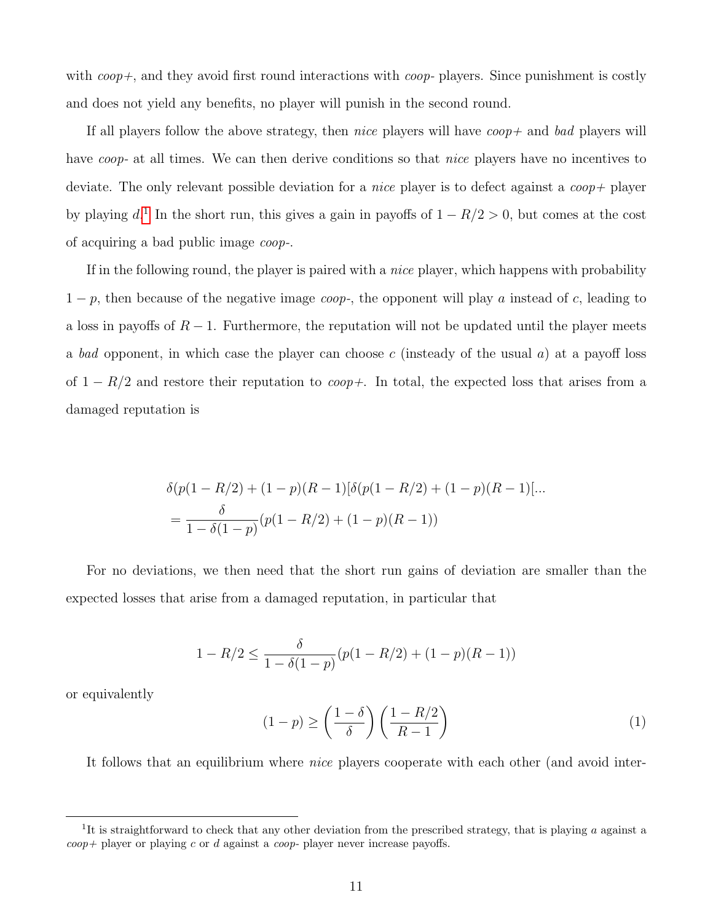with  $coop+$ , and they avoid first round interactions with  $coop-$  players. Since punishment is costly and does not yield any benefits, no player will punish in the second round.

If all players follow the above strategy, then *nice* players will have  $coop+$  and bad players will have *coop*- at all times. We can then derive conditions so that *nice* players have no incentives to deviate. The only relevant possible deviation for a *nice* player is to defect against a *coop* + player by playing  $d^1$  $d^1$ . In the short run, this gives a gain in payoffs of  $1 - R/2 > 0$ , but comes at the cost of acquiring a bad public image coop-.

If in the following round, the player is paired with a *nice* player, which happens with probability  $1 - p$ , then because of the negative image *coop*-, the opponent will play a instead of c, leading to a loss in payoffs of  $R-1$ . Furthermore, the reputation will not be updated until the player meets a bad opponent, in which case the player can choose c (insteady of the usual  $a$ ) at a payoff loss of  $1 - R/2$  and restore their reputation to *coop+*. In total, the expected loss that arises from a damaged reputation is

$$
\delta(p(1 - R/2) + (1 - p)(R - 1)[\delta(p(1 - R/2) + (1 - p)(R - 1)]...
$$
  
= 
$$
\frac{\delta}{1 - \delta(1 - p)}(p(1 - R/2) + (1 - p)(R - 1))
$$

For no deviations, we then need that the short run gains of deviation are smaller than the expected losses that arise from a damaged reputation, in particular that

$$
1 - R/2 \le \frac{\delta}{1 - \delta(1 - p)}(p(1 - R/2) + (1 - p)(R - 1))
$$

or equivalently

<span id="page-10-1"></span>
$$
(1-p) \ge \left(\frac{1-\delta}{\delta}\right) \left(\frac{1-R/2}{R-1}\right) \tag{1}
$$

It follows that an equilibrium where nice players cooperate with each other (and avoid inter-

<span id="page-10-0"></span><sup>&</sup>lt;sup>1</sup>It is straightforward to check that any other deviation from the prescribed strategy, that is playing  $a$  against a  $coop+$  player or playing c or d against a coop- player never increase payoffs.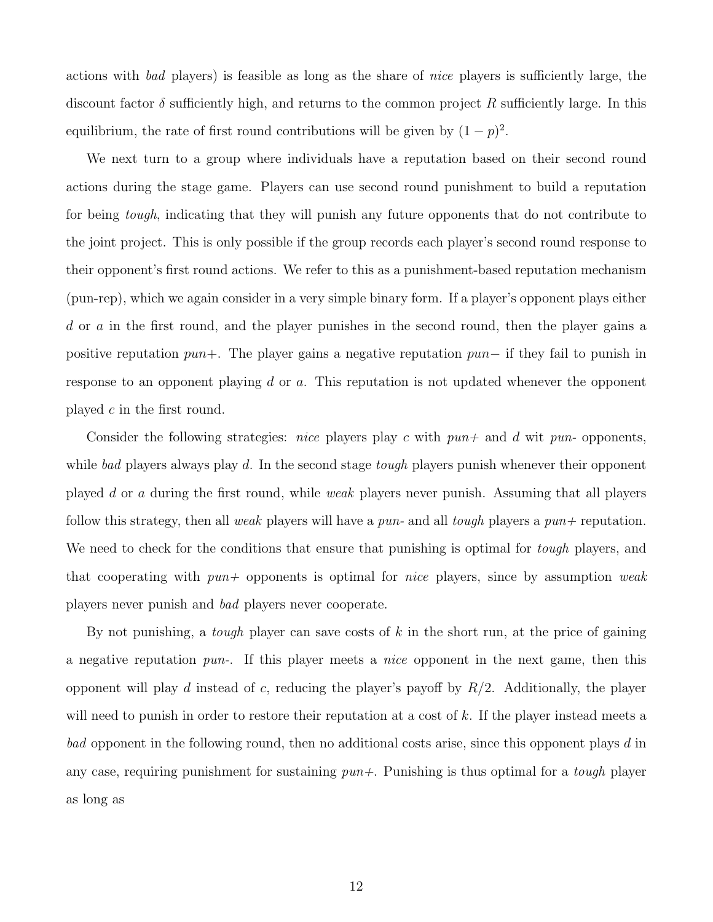actions with bad players) is feasible as long as the share of nice players is sufficiently large, the discount factor  $\delta$  sufficiently high, and returns to the common project R sufficiently large. In this equilibrium, the rate of first round contributions will be given by  $(1-p)^2$ .

We next turn to a group where individuals have a reputation based on their second round actions during the stage game. Players can use second round punishment to build a reputation for being tough, indicating that they will punish any future opponents that do not contribute to the joint project. This is only possible if the group records each player's second round response to their opponent's first round actions. We refer to this as a punishment-based reputation mechanism (pun-rep), which we again consider in a very simple binary form. If a player's opponent plays either d or a in the first round, and the player punishes in the second round, then the player gains a positive reputation pun+. The player gains a negative reputation pun− if they fail to punish in response to an opponent playing d or a. This reputation is not updated whenever the opponent played c in the first round.

Consider the following strategies: *nice* players play c with  $pun+$  and d wit pun- opponents, while bad players always play d. In the second stage *tough* players punish whenever their opponent played d or a during the first round, while weak players never punish. Assuming that all players follow this strategy, then all weak players will have a pun- and all tough players a  $pun+$  reputation. We need to check for the conditions that ensure that punishing is optimal for *tough* players, and that cooperating with  $pun+$  opponents is optimal for *nice* players, since by assumption weak players never punish and bad players never cooperate.

By not punishing, a *tough* player can save costs of  $k$  in the short run, at the price of gaining a negative reputation  $pun$ . If this player meets a *nice* opponent in the next game, then this opponent will play d instead of c, reducing the player's payoff by  $R/2$ . Additionally, the player will need to punish in order to restore their reputation at a cost of k. If the player instead meets a bad opponent in the following round, then no additional costs arise, since this opponent plays d in any case, requiring punishment for sustaining  $pun+$ . Punishing is thus optimal for a *tough* player as long as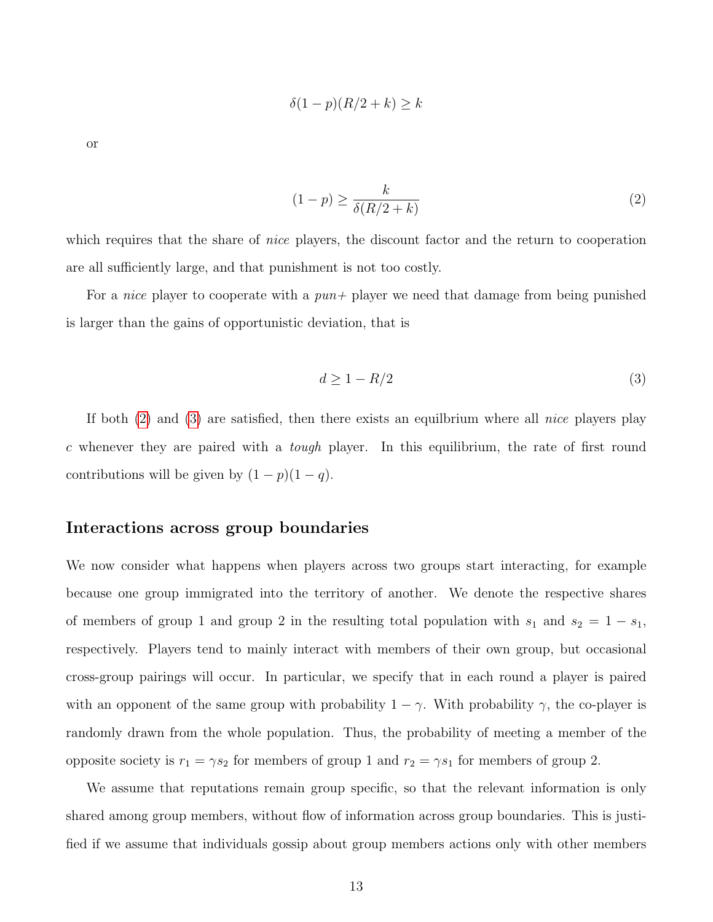$$
\delta(1-p)(R/2+k) \ge k
$$

or

<span id="page-12-0"></span>
$$
(1-p) \ge \frac{k}{\delta(R/2+k)}\tag{2}
$$

which requires that the share of *nice* players, the discount factor and the return to cooperation are all sufficiently large, and that punishment is not too costly.

For a *nice* player to cooperate with a  $pun+$  player we need that damage from being punished is larger than the gains of opportunistic deviation, that is

<span id="page-12-1"></span>
$$
d \ge 1 - R/2 \tag{3}
$$

If both [\(2\)](#page-12-0) and [\(3\)](#page-12-1) are satisfied, then there exists an equilbrium where all nice players play c whenever they are paired with a *tough* player. In this equilibrium, the rate of first round contributions will be given by  $(1 - p)(1 - q)$ .

#### Interactions across group boundaries

We now consider what happens when players across two groups start interacting, for example because one group immigrated into the territory of another. We denote the respective shares of members of group 1 and group 2 in the resulting total population with  $s_1$  and  $s_2 = 1 - s_1$ , respectively. Players tend to mainly interact with members of their own group, but occasional cross-group pairings will occur. In particular, we specify that in each round a player is paired with an opponent of the same group with probability  $1 - \gamma$ . With probability  $\gamma$ , the co-player is randomly drawn from the whole population. Thus, the probability of meeting a member of the opposite society is  $r_1 = \gamma s_2$  for members of group 1 and  $r_2 = \gamma s_1$  for members of group 2.

We assume that reputations remain group specific, so that the relevant information is only shared among group members, without flow of information across group boundaries. This is justified if we assume that individuals gossip about group members actions only with other members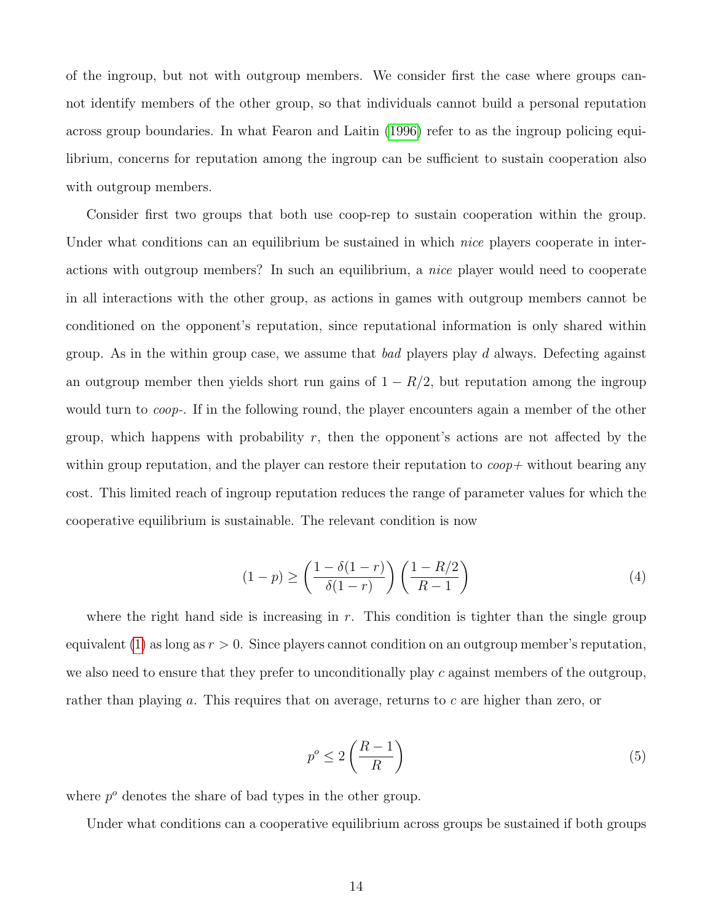of the ingroup, but not with outgroup members. We consider first the case where groups cannot identify members of the other group, so that individuals cannot build a personal reputation across group boundaries. In what Fearon and Laitin [\(1996\)](#page-29-0) refer to as the ingroup policing equilibrium, concerns for reputation among the ingroup can be sufficient to sustain cooperation also with outgroup members.

Consider first two groups that both use coop-rep to sustain cooperation within the group. Under what conditions can an equilibrium be sustained in which *nice* players cooperate in interactions with outgroup members? In such an equilibrium, a nice player would need to cooperate in all interactions with the other group, as actions in games with outgroup members cannot be conditioned on the opponent's reputation, since reputational information is only shared within group. As in the within group case, we assume that bad players play d always. Defecting against an outgroup member then yields short run gains of  $1 - R/2$ , but reputation among the ingroup would turn to *coop*-. If in the following round, the player encounters again a member of the other group, which happens with probability r, then the opponent's actions are not affected by the within group reputation, and the player can restore their reputation to  $\cos p +$  without bearing any cost. This limited reach of ingroup reputation reduces the range of parameter values for which the cooperative equilibrium is sustainable. The relevant condition is now

$$
(1-p) \ge \left(\frac{1-\delta(1-r)}{\delta(1-r)}\right) \left(\frac{1-R/2}{R-1}\right) \tag{4}
$$

where the right hand side is increasing in r. This condition is tighter than the single group equivalent [\(1\)](#page-10-1) as long as  $r > 0$ . Since players cannot condition on an outgroup member's reputation, we also need to ensure that they prefer to unconditionally play c against members of the outgroup, rather than playing a. This requires that on average, returns to c are higher than zero, or

<span id="page-13-0"></span>
$$
p^o \le 2\left(\frac{R-1}{R}\right) \tag{5}
$$

where  $p^o$  denotes the share of bad types in the other group.

Under what conditions can a cooperative equilibrium across groups be sustained if both groups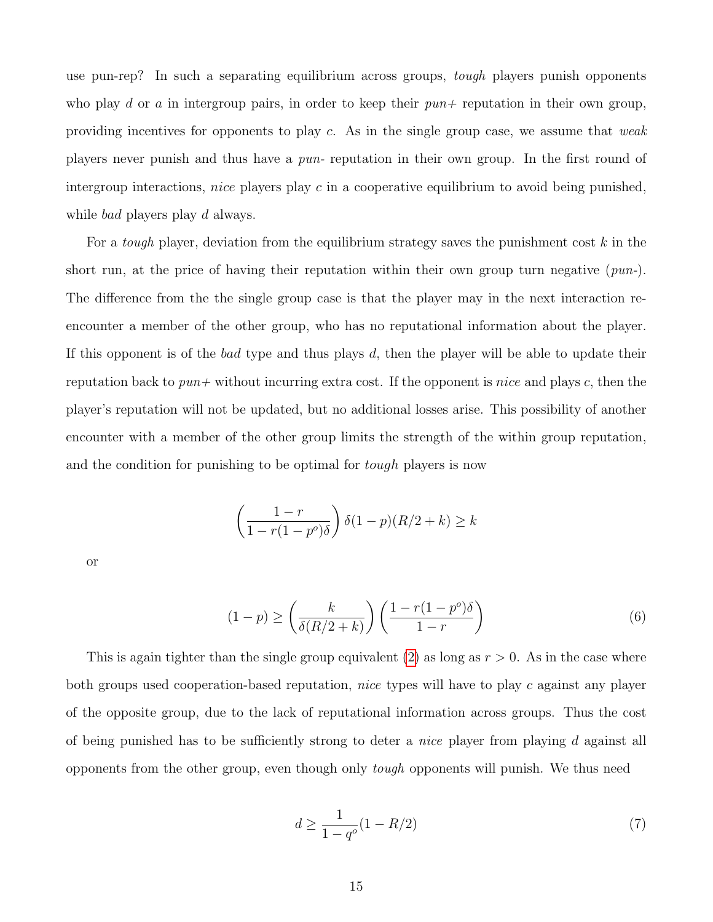use pun-rep? In such a separating equilibrium across groups, *tough* players punish opponents who play d or a in intergroup pairs, in order to keep their  $pun+$  reputation in their own group, providing incentives for opponents to play c. As in the single group case, we assume that weak players never punish and thus have a pun- reputation in their own group. In the first round of intergroup interactions, *nice* players play c in a cooperative equilibrium to avoid being punished, while *bad* players play d always.

For a *tough* player, deviation from the equilibrium strategy saves the punishment cost  $k$  in the short run, at the price of having their reputation within their own group turn negative  $(pun-)$ . The difference from the the single group case is that the player may in the next interaction reencounter a member of the other group, who has no reputational information about the player. If this opponent is of the bad type and thus plays d, then the player will be able to update their reputation back to  $pun+$  without incurring extra cost. If the opponent is nice and plays c, then the player's reputation will not be updated, but no additional losses arise. This possibility of another encounter with a member of the other group limits the strength of the within group reputation, and the condition for punishing to be optimal for *tough* players is now

$$
\left(\frac{1-r}{1-r(1-p^o)\delta}\right)\delta(1-p)(R/2+k)\geq k
$$

or

<span id="page-14-0"></span>
$$
(1-p) \ge \left(\frac{k}{\delta(R/2+k)}\right) \left(\frac{1-r(1-p^o)\delta}{1-r}\right) \tag{6}
$$

This is again tighter than the single group equivalent [\(2\)](#page-12-0) as long as  $r > 0$ . As in the case where both groups used cooperation-based reputation, nice types will have to play c against any player of the opposite group, due to the lack of reputational information across groups. Thus the cost of being punished has to be sufficiently strong to deter a *nice* player from playing d against all opponents from the other group, even though only tough opponents will punish. We thus need

$$
d \ge \frac{1}{1 - q^o} (1 - R/2) \tag{7}
$$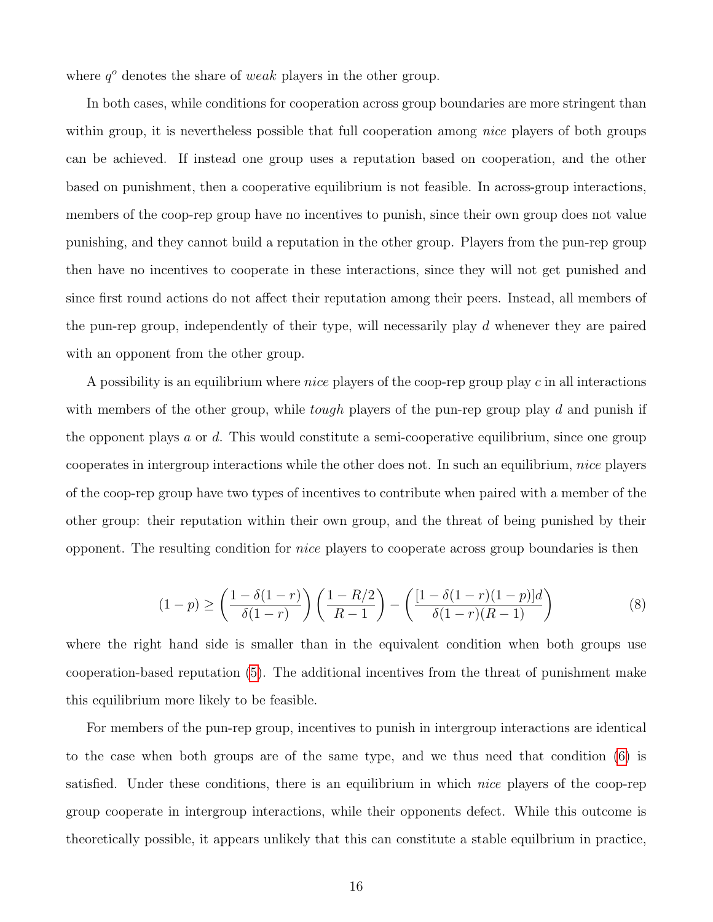where  $q<sup>o</sup>$  denotes the share of weak players in the other group.

In both cases, while conditions for cooperation across group boundaries are more stringent than within group, it is nevertheless possible that full cooperation among *nice* players of both groups can be achieved. If instead one group uses a reputation based on cooperation, and the other based on punishment, then a cooperative equilibrium is not feasible. In across-group interactions, members of the coop-rep group have no incentives to punish, since their own group does not value punishing, and they cannot build a reputation in the other group. Players from the pun-rep group then have no incentives to cooperate in these interactions, since they will not get punished and since first round actions do not affect their reputation among their peers. Instead, all members of the pun-rep group, independently of their type, will necessarily play d whenever they are paired with an opponent from the other group.

A possibility is an equilibrium where *nice* players of the coop-rep group play c in all interactions with members of the other group, while *tough* players of the pun-rep group play d and punish if the opponent plays  $a$  or  $d$ . This would constitute a semi-cooperative equilibrium, since one group cooperates in intergroup interactions while the other does not. In such an equilibrium, nice players of the coop-rep group have two types of incentives to contribute when paired with a member of the other group: their reputation within their own group, and the threat of being punished by their opponent. The resulting condition for nice players to cooperate across group boundaries is then

$$
(1-p) \ge \left(\frac{1-\delta(1-r)}{\delta(1-r)}\right) \left(\frac{1-R/2}{R-1}\right) - \left(\frac{[1-\delta(1-r)(1-p)]d}{\delta(1-r)(R-1)}\right) \tag{8}
$$

where the right hand side is smaller than in the equivalent condition when both groups use cooperation-based reputation [\(5\)](#page-13-0). The additional incentives from the threat of punishment make this equilibrium more likely to be feasible.

For members of the pun-rep group, incentives to punish in intergroup interactions are identical to the case when both groups are of the same type, and we thus need that condition [\(6\)](#page-14-0) is satisfied. Under these conditions, there is an equilibrium in which nice players of the coop-rep group cooperate in intergroup interactions, while their opponents defect. While this outcome is theoretically possible, it appears unlikely that this can constitute a stable equilbrium in practice,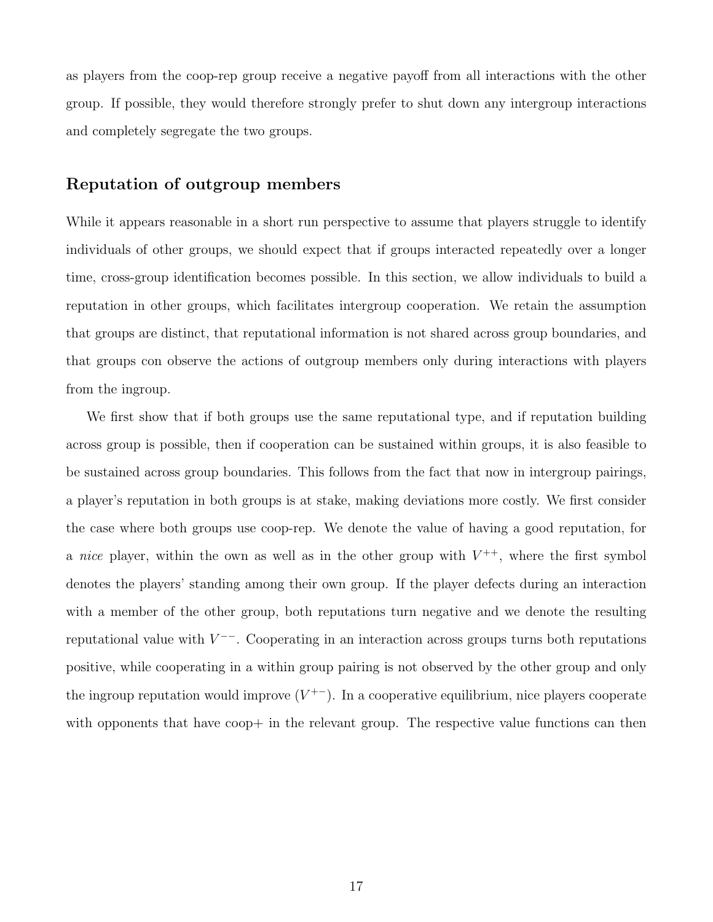as players from the coop-rep group receive a negative payoff from all interactions with the other group. If possible, they would therefore strongly prefer to shut down any intergroup interactions and completely segregate the two groups.

#### Reputation of outgroup members

While it appears reasonable in a short run perspective to assume that players struggle to identify individuals of other groups, we should expect that if groups interacted repeatedly over a longer time, cross-group identification becomes possible. In this section, we allow individuals to build a reputation in other groups, which facilitates intergroup cooperation. We retain the assumption that groups are distinct, that reputational information is not shared across group boundaries, and that groups con observe the actions of outgroup members only during interactions with players from the ingroup.

We first show that if both groups use the same reputational type, and if reputation building across group is possible, then if cooperation can be sustained within groups, it is also feasible to be sustained across group boundaries. This follows from the fact that now in intergroup pairings, a player's reputation in both groups is at stake, making deviations more costly. We first consider the case where both groups use coop-rep. We denote the value of having a good reputation, for a nice player, within the own as well as in the other group with  $V^{++}$ , where the first symbol denotes the players' standing among their own group. If the player defects during an interaction with a member of the other group, both reputations turn negative and we denote the resulting reputational value with  $V^{--}$ . Cooperating in an interaction across groups turns both reputations positive, while cooperating in a within group pairing is not observed by the other group and only the ingroup reputation would improve  $(V^{+-})$ . In a cooperative equilibrium, nice players cooperate with opponents that have coop+ in the relevant group. The respective value functions can then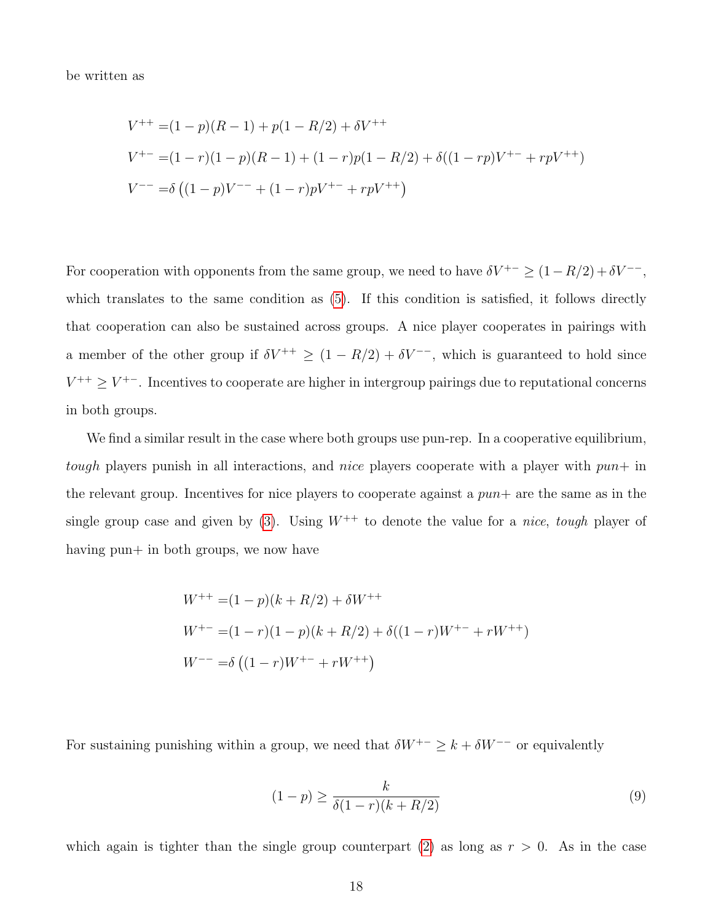be written as

$$
V^{++} = (1 - p)(R - 1) + p(1 - R/2) + \delta V^{++}
$$
  
\n
$$
V^{+-} = (1 - r)(1 - p)(R - 1) + (1 - r)p(1 - R/2) + \delta((1 - rp)V^{+-} + rpV^{++})
$$
  
\n
$$
V^{--} = \delta ((1 - p)V^{--} + (1 - r)pV^{+-} + rpV^{++})
$$

For cooperation with opponents from the same group, we need to have  $\delta V^{+-} \geq (1-R/2) + \delta V^{--}$ , which translates to the same condition as  $(5)$ . If this condition is satisfied, it follows directly that cooperation can also be sustained across groups. A nice player cooperates in pairings with a member of the other group if  $\delta V^{++} \geq (1 - R/2) + \delta V^{--}$ , which is guaranteed to hold since  $V^{++} \geq V^{+-}$ . Incentives to cooperate are higher in intergroup pairings due to reputational concerns in both groups.

We find a similar result in the case where both groups use pun-rep. In a cooperative equilibrium, tough players punish in all interactions, and nice players cooperate with a player with  $pun+$  in the relevant group. Incentives for nice players to cooperate against a  $pun+$  are the same as in the single group case and given by [\(3\)](#page-12-1). Using  $W^{++}$  to denote the value for a *nice*, tough player of having pun+ in both groups, we now have

$$
W^{++} = (1 - p)(k + R/2) + \delta W^{++}
$$
  
\n
$$
W^{+-} = (1 - r)(1 - p)(k + R/2) + \delta((1 - r)W^{+-} + rW^{++})
$$
  
\n
$$
W^{--} = \delta ((1 - r)W^{+-} + rW^{++})
$$

For sustaining punishing within a group, we need that  $\delta W^{+-} \geq k + \delta W^{--}$  or equivalently

<span id="page-17-0"></span>
$$
(1 - p) \ge \frac{k}{\delta(1 - r)(k + R/2)}
$$
\n(9)

which again is tighter than the single group counterpart [\(2\)](#page-12-0) as long as  $r > 0$ . As in the case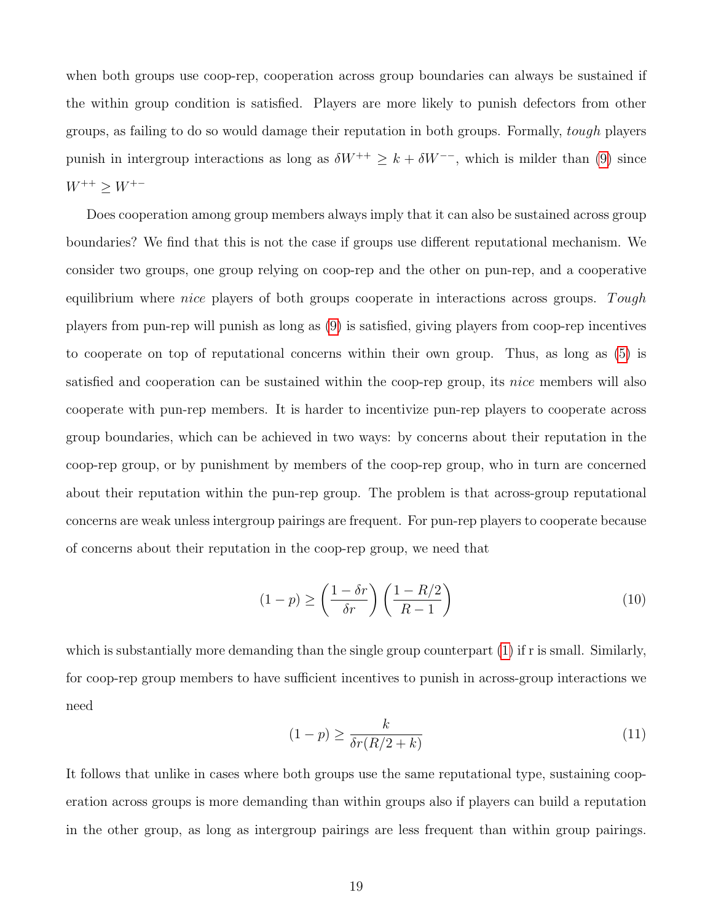when both groups use coop-rep, cooperation across group boundaries can always be sustained if the within group condition is satisfied. Players are more likely to punish defectors from other groups, as failing to do so would damage their reputation in both groups. Formally, tough players punish in intergroup interactions as long as  $\delta W^{++} \geq k + \delta W^{--}$ , which is milder than [\(9\)](#page-17-0) since  $W^{++} \ge W^{+-}$ 

Does cooperation among group members always imply that it can also be sustained across group boundaries? We find that this is not the case if groups use different reputational mechanism. We consider two groups, one group relying on coop-rep and the other on pun-rep, and a cooperative equilibrium where *nice* players of both groups cooperate in interactions across groups. Tough players from pun-rep will punish as long as [\(9\)](#page-17-0) is satisfied, giving players from coop-rep incentives to cooperate on top of reputational concerns within their own group. Thus, as long as [\(5\)](#page-13-0) is satisfied and cooperation can be sustained within the coop-rep group, its nice members will also cooperate with pun-rep members. It is harder to incentivize pun-rep players to cooperate across group boundaries, which can be achieved in two ways: by concerns about their reputation in the coop-rep group, or by punishment by members of the coop-rep group, who in turn are concerned about their reputation within the pun-rep group. The problem is that across-group reputational concerns are weak unless intergroup pairings are frequent. For pun-rep players to cooperate because of concerns about their reputation in the coop-rep group, we need that

$$
(1-p) \ge \left(\frac{1-\delta r}{\delta r}\right) \left(\frac{1-R/2}{R-1}\right) \tag{10}
$$

which is substantially more demanding than the single group counterpart [\(1\)](#page-10-1) if r is small. Similarly, for coop-rep group members to have sufficient incentives to punish in across-group interactions we need

$$
(1 - p) \ge \frac{k}{\delta r(R/2 + k)}\tag{11}
$$

It follows that unlike in cases where both groups use the same reputational type, sustaining cooperation across groups is more demanding than within groups also if players can build a reputation in the other group, as long as intergroup pairings are less frequent than within group pairings.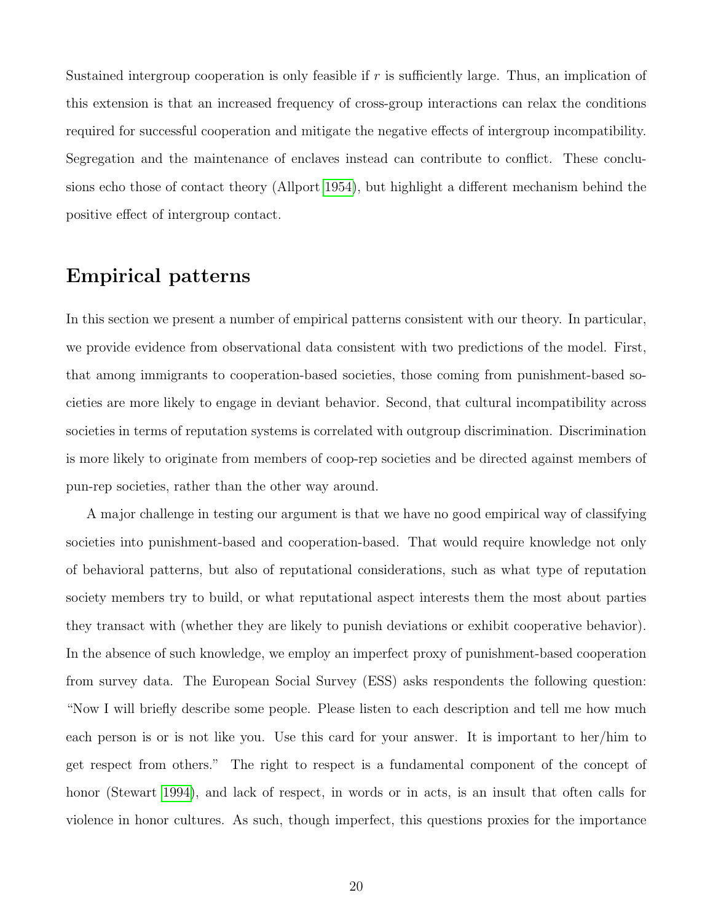Sustained intergroup cooperation is only feasible if r is sufficiently large. Thus, an implication of this extension is that an increased frequency of cross-group interactions can relax the conditions required for successful cooperation and mitigate the negative effects of intergroup incompatibility. Segregation and the maintenance of enclaves instead can contribute to conflict. These conclusions echo those of contact theory (Allport [1954\)](#page-28-2), but highlight a different mechanism behind the positive effect of intergroup contact.

### Empirical patterns

In this section we present a number of empirical patterns consistent with our theory. In particular, we provide evidence from observational data consistent with two predictions of the model. First, that among immigrants to cooperation-based societies, those coming from punishment-based societies are more likely to engage in deviant behavior. Second, that cultural incompatibility across societies in terms of reputation systems is correlated with outgroup discrimination. Discrimination is more likely to originate from members of coop-rep societies and be directed against members of pun-rep societies, rather than the other way around.

A major challenge in testing our argument is that we have no good empirical way of classifying societies into punishment-based and cooperation-based. That would require knowledge not only of behavioral patterns, but also of reputational considerations, such as what type of reputation society members try to build, or what reputational aspect interests them the most about parties they transact with (whether they are likely to punish deviations or exhibit cooperative behavior). In the absence of such knowledge, we employ an imperfect proxy of punishment-based cooperation from survey data. The European Social Survey (ESS) asks respondents the following question: "Now I will briefly describe some people. Please listen to each description and tell me how much each person is or is not like you. Use this card for your answer. It is important to her/him to get respect from others." The right to respect is a fundamental component of the concept of honor (Stewart [1994\)](#page-32-5), and lack of respect, in words or in acts, is an insult that often calls for violence in honor cultures. As such, though imperfect, this questions proxies for the importance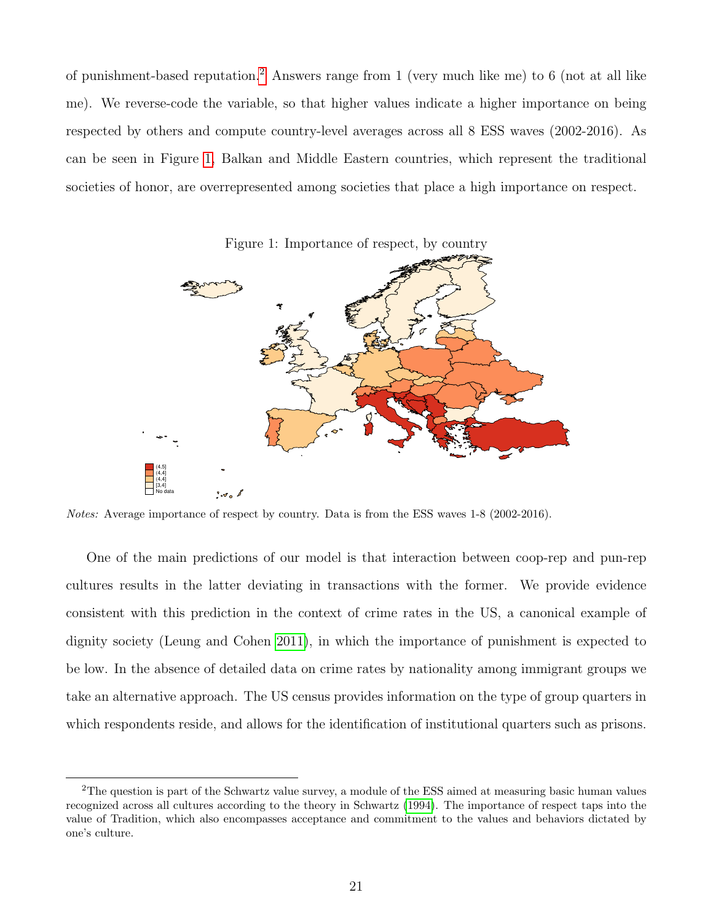of punishment-based reputation.<sup>[2](#page-20-0)</sup> Answers range from 1 (very much like me) to 6 (not at all like me). We reverse-code the variable, so that higher values indicate a higher importance on being respected by others and compute country-level averages across all 8 ESS waves (2002-2016). As can be seen in Figure [1,](#page-20-1) Balkan and Middle Eastern countries, which represent the traditional societies of honor, are overrepresented among societies that place a high importance on respect.

<span id="page-20-1"></span>

Notes: Average importance of respect by country. Data is from the ESS waves 1-8 (2002-2016).

One of the main predictions of our model is that interaction between coop-rep and pun-rep cultures results in the latter deviating in transactions with the former. We provide evidence consistent with this prediction in the context of crime rates in the US, a canonical example of dignity society (Leung and Cohen [2011\)](#page-31-3), in which the importance of punishment is expected to be low. In the absence of detailed data on crime rates by nationality among immigrant groups we take an alternative approach. The US census provides information on the type of group quarters in which respondents reside, and allows for the identification of institutional quarters such as prisons.

<span id="page-20-0"></span><sup>2</sup>The question is part of the Schwartz value survey, a module of the ESS aimed at measuring basic human values recognized across all cultures according to the theory in Schwartz [\(1994\)](#page-32-9). The importance of respect taps into the value of Tradition, which also encompasses acceptance and commitment to the values and behaviors dictated by one's culture.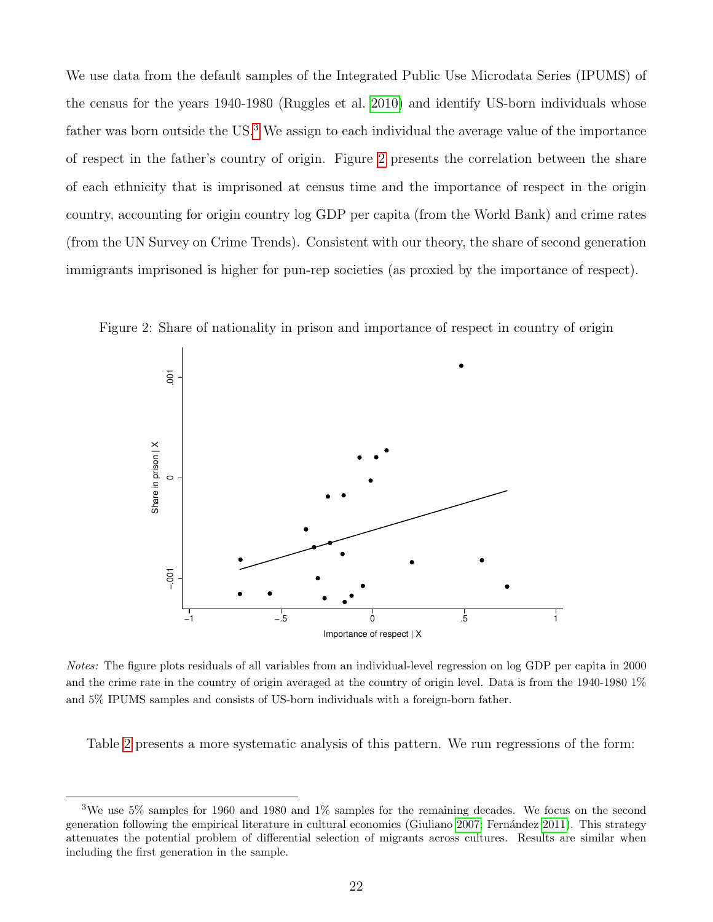We use data from the default samples of the Integrated Public Use Microdata Series (IPUMS) of the census for the years 1940-1980 (Ruggles et al. [2010\)](#page-32-10) and identify US-born individuals whose father was born outside the US.<sup>[3](#page-21-0)</sup> We assign to each individual the average value of the importance of respect in the father's country of origin. Figure [2](#page-21-1) presents the correlation between the share of each ethnicity that is imprisoned at census time and the importance of respect in the origin country, accounting for origin country log GDP per capita (from the World Bank) and crime rates (from the UN Survey on Crime Trends). Consistent with our theory, the share of second generation immigrants imprisoned is higher for pun-rep societies (as proxied by the importance of respect).

<span id="page-21-1"></span>

Figure 2: Share of nationality in prison and importance of respect in country of origin

Notes: The figure plots residuals of all variables from an individual-level regression on log GDP per capita in 2000 and the crime rate in the country of origin averaged at the country of origin level. Data is from the 1940-1980 1% and 5% IPUMS samples and consists of US-born individuals with a foreign-born father.

Table [2](#page-22-0) presents a more systematic analysis of this pattern. We run regressions of the form:

<span id="page-21-0"></span><sup>3</sup>We use 5% samples for 1960 and 1980 and 1% samples for the remaining decades. We focus on the second generation following the empirical literature in cultural economics (Giuliano [2007;](#page-30-10) Fernández [2011\)](#page-29-11). This strategy attenuates the potential problem of differential selection of migrants across cultures. Results are similar when including the first generation in the sample.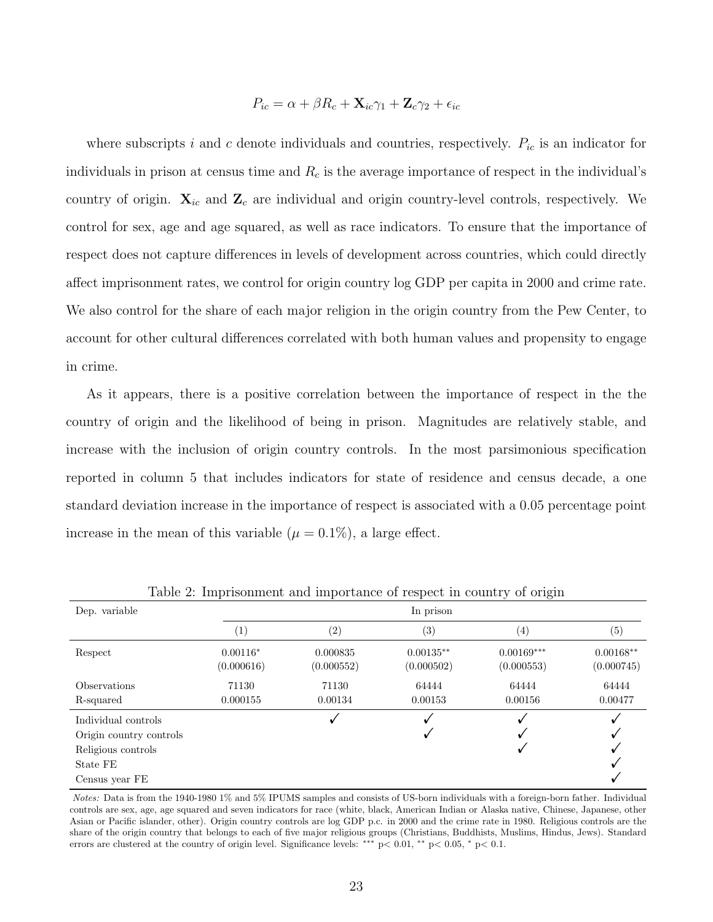$$
P_{ic} = \alpha + \beta R_c + \mathbf{X}_{ic}\gamma_1 + \mathbf{Z}_c\gamma_2 + \epsilon_{ic}
$$

where subscripts i and c denote individuals and countries, respectively.  $P_{ic}$  is an indicator for individuals in prison at census time and  $R_c$  is the average importance of respect in the individual's country of origin.  $\mathbf{X}_{ic}$  and  $\mathbf{Z}_c$  are individual and origin country-level controls, respectively. We control for sex, age and age squared, as well as race indicators. To ensure that the importance of respect does not capture differences in levels of development across countries, which could directly affect imprisonment rates, we control for origin country log GDP per capita in 2000 and crime rate. We also control for the share of each major religion in the origin country from the Pew Center, to account for other cultural differences correlated with both human values and propensity to engage in crime.

As it appears, there is a positive correlation between the importance of respect in the the country of origin and the likelihood of being in prison. Magnitudes are relatively stable, and increase with the inclusion of origin country controls. In the most parsimonious specification reported in column 5 that includes indicators for state of residence and census decade, a one standard deviation increase in the importance of respect is associated with a 0.05 percentage point increase in the mean of this variable  $(\mu = 0.1\%)$ , a large effect.

| Dep. variable                                                                                      |                          |                        |                           |                            |                           |
|----------------------------------------------------------------------------------------------------|--------------------------|------------------------|---------------------------|----------------------------|---------------------------|
|                                                                                                    | $\left( 1\right)$        | $\left( 2\right)$      | $\left( 3\right)$         | (4)                        | (5)                       |
| Respect                                                                                            | $0.00116*$<br>(0.000616) | 0.000835<br>(0.000552) | $0.00135**$<br>(0.000502) | $0.00169***$<br>(0.000553) | $0.00168**$<br>(0.000745) |
| <b>Observations</b><br>R-squared                                                                   | 71130<br>0.000155        | 71130<br>0.00134       | 64444<br>0.00153          | 64444<br>0.00156           | 64444<br>0.00477          |
| Individual controls<br>Origin country controls<br>Religious controls<br>State FE<br>Census year FE |                          | ✓                      |                           | V                          |                           |

<span id="page-22-0"></span>Table 2: Imprisonment and importance of respect in country of origin

Notes: Data is from the 1940-1980 1% and 5% IPUMS samples and consists of US-born individuals with a foreign-born father. Individual controls are sex, age, age squared and seven indicators for race (white, black, American Indian or Alaska native, Chinese, Japanese, other Asian or Pacific islander, other). Origin country controls are log GDP p.c. in 2000 and the crime rate in 1980. Religious controls are the share of the origin country that belongs to each of five major religious groups (Christians, Buddhists, Muslims, Hindus, Jews). Standard errors are clustered at the country of origin level. Significance levels: \*\*\* p< 0.01, \*\* p< 0.05, \* p< 0.1.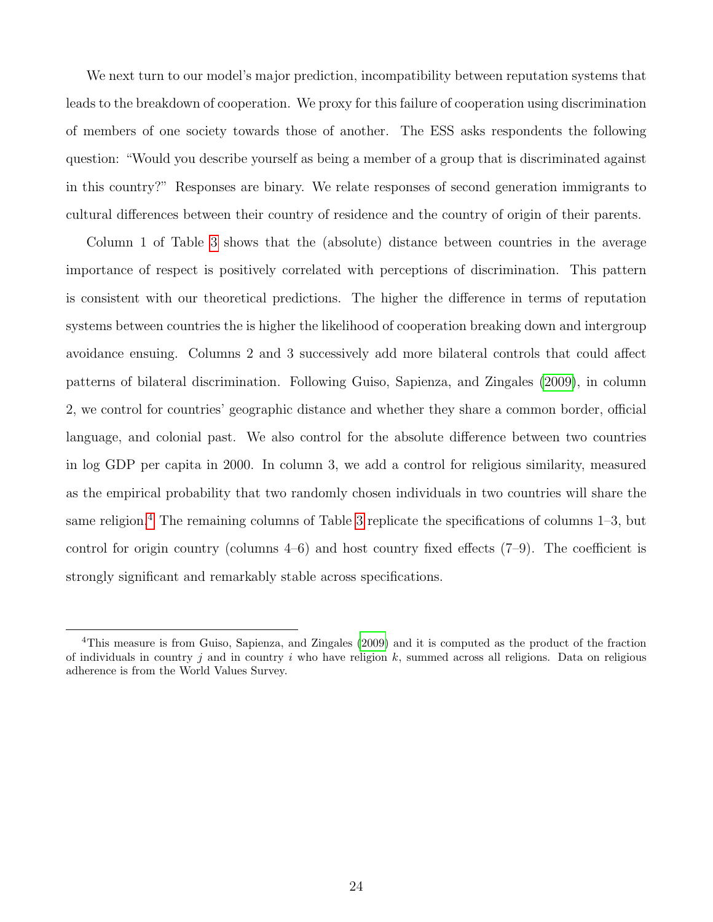We next turn to our model's major prediction, incompatibility between reputation systems that leads to the breakdown of cooperation. We proxy for this failure of cooperation using discrimination of members of one society towards those of another. The ESS asks respondents the following question: "Would you describe yourself as being a member of a group that is discriminated against in this country?" Responses are binary. We relate responses of second generation immigrants to cultural differences between their country of residence and the country of origin of their parents.

Column 1 of Table [3](#page-24-0) shows that the (absolute) distance between countries in the average importance of respect is positively correlated with perceptions of discrimination. This pattern is consistent with our theoretical predictions. The higher the difference in terms of reputation systems between countries the is higher the likelihood of cooperation breaking down and intergroup avoidance ensuing. Columns 2 and 3 successively add more bilateral controls that could affect patterns of bilateral discrimination. Following Guiso, Sapienza, and Zingales [\(2009\)](#page-30-11), in column 2, we control for countries' geographic distance and whether they share a common border, official language, and colonial past. We also control for the absolute difference between two countries in log GDP per capita in 2000. In column 3, we add a control for religious similarity, measured as the empirical probability that two randomly chosen individuals in two countries will share the same religion.<sup>[4](#page-23-0)</sup> The remaining columns of Table [3](#page-24-0) replicate the specifications of columns  $1-3$ , but control for origin country (columns  $4-6$ ) and host country fixed effects  $(7-9)$ . The coefficient is strongly significant and remarkably stable across specifications.

<span id="page-23-0"></span><sup>4</sup>This measure is from Guiso, Sapienza, and Zingales [\(2009\)](#page-30-11) and it is computed as the product of the fraction of individuals in country j and in country i who have religion k, summed across all religions. Data on religious adherence is from the World Values Survey.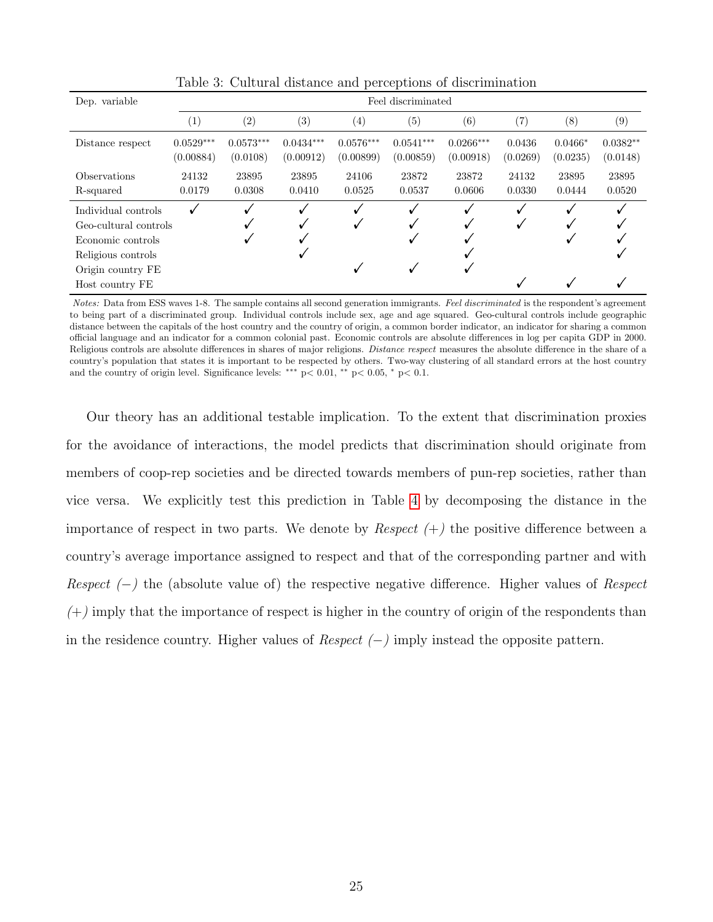| Dep. variable                                                                                                |                          | Feel discriminated      |                          |                          |                          |                          |                    |                       |                        |
|--------------------------------------------------------------------------------------------------------------|--------------------------|-------------------------|--------------------------|--------------------------|--------------------------|--------------------------|--------------------|-----------------------|------------------------|
|                                                                                                              | $\left(1\right)$         | $\left( 2\right)$       | $\left( 3\right)$        | $\left(4\right)$         | (5)                      | (6)                      | (7)                | (8)                   | (9)                    |
| Distance respect                                                                                             | $0.0529***$<br>(0.00884) | $0.0573***$<br>(0.0108) | $0.0434***$<br>(0.00912) | $0.0576***$<br>(0.00899) | $0.0541***$<br>(0.00859) | $0.0266***$<br>(0.00918) | 0.0436<br>(0.0269) | $0.0466*$<br>(0.0235) | $0.0382**$<br>(0.0148) |
| <b>Observations</b><br>R-squared                                                                             | 24132<br>0.0179          | 23895<br>0.0308         | 23895<br>0.0410          | 24106<br>0.0525          | 23872<br>0.0537          | 23872<br>0.0606          | 24132<br>0.0330    | 23895<br>0.0444       | 23895<br>0.0520        |
| Individual controls<br>Geo-cultural controls<br>Economic controls<br>Religious controls<br>Origin country FE |                          |                         |                          |                          |                          |                          | v                  |                       |                        |
| Host country FE                                                                                              |                          |                         |                          |                          |                          |                          |                    |                       |                        |

<span id="page-24-0"></span>Table 3: Cultural distance and perceptions of discrimination

Notes: Data from ESS waves 1-8. The sample contains all second generation immigrants. Feel discriminated is the respondent's agreement to being part of a discriminated group. Individual controls include sex, age and age squared. Geo-cultural controls include geographic distance between the capitals of the host country and the country of origin, a common border indicator, an indicator for sharing a common official language and an indicator for a common colonial past. Economic controls are absolute differences in log per capita GDP in 2000. Religious controls are absolute differences in shares of major religions. *Distance respect* measures the absolute difference in the share of a country's population that states it is important to be respected by others. Two-way clustering of all standard errors at the host country and the country of origin level. Significance levels: \*\*\*  $p < 0.01$ , \*\*  $p < 0.05$ , \*  $p < 0.1$ .

Our theory has an additional testable implication. To the extent that discrimination proxies for the avoidance of interactions, the model predicts that discrimination should originate from members of coop-rep societies and be directed towards members of pun-rep societies, rather than vice versa. We explicitly test this prediction in Table [4](#page-25-0) by decomposing the distance in the importance of respect in two parts. We denote by *Respect*  $(+)$  the positive difference between a country's average importance assigned to respect and that of the corresponding partner and with Respect  $(-)$  the (absolute value of) the respective negative difference. Higher values of Respect  $(+)$  imply that the importance of respect is higher in the country of origin of the respondents than in the residence country. Higher values of  $Respect$  (−) imply instead the opposite pattern.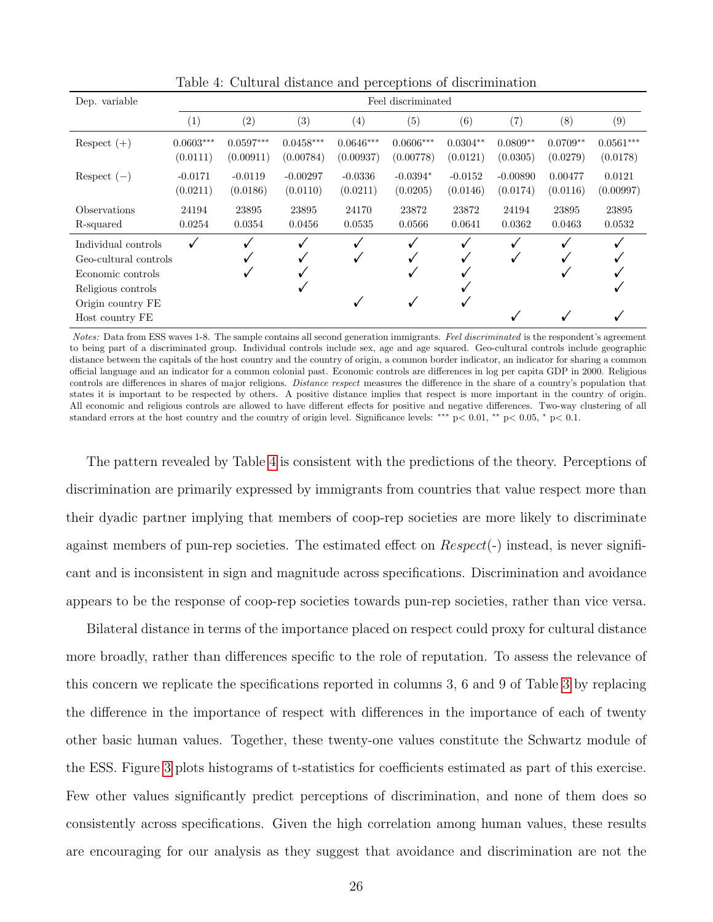| Dep. variable         | Feel discriminated |             |                   |             |             |            |            |            |             |
|-----------------------|--------------------|-------------|-------------------|-------------|-------------|------------|------------|------------|-------------|
|                       | $\left( 1\right)$  | $\rm(2)$    | $\left( 3\right)$ | (4)         | (5)         | (6)        | (7)        | (8)        | (9)         |
| Respect $(+)$         | $0.0603***$        | $0.0597***$ | $0.0458***$       | $0.0646***$ | $0.0606***$ | $0.0304**$ | $0.0809**$ | $0.0709**$ | $0.0561***$ |
|                       | (0.0111)           | (0.00911)   | (0.00784)         | (0.00937)   | (0.00778)   | (0.0121)   | (0.0305)   | (0.0279)   | (0.0178)    |
| Respect $(-)$         | $-0.0171$          | $-0.0119$   | $-0.00297$        | $-0.0336$   | $-0.0394*$  | $-0.0152$  | $-0.00890$ | 0.00477    | 0.0121      |
|                       | (0.0211)           | (0.0186)    | (0.0110)          | (0.0211)    | (0.0205)    | (0.0146)   | (0.0174)   | (0.0116)   | (0.00997)   |
| Observations          | 24194              | 23895       | 23895             | 24170       | 23872       | 23872      | 24194      | 23895      | 23895       |
| R-squared             | 0.0254             | 0.0354      | 0.0456            | 0.0535      | 0.0566      | 0.0641     | 0.0362     | 0.0463     | 0.0532      |
| Individual controls   |                    |             |                   |             |             |            |            |            |             |
| Geo-cultural controls |                    |             | V                 | v           |             |            | V          |            |             |
| Economic controls     |                    |             |                   |             |             |            |            | v          |             |
| Religious controls    |                    |             |                   |             |             |            |            |            |             |
| Origin country FE     |                    |             |                   |             |             |            |            |            |             |
| Host country FE       |                    |             |                   |             |             |            |            |            |             |

<span id="page-25-0"></span>Table 4: Cultural distance and perceptions of discrimination

Notes: Data from ESS waves 1-8. The sample contains all second generation immigrants. Feel discriminated is the respondent's agreement to being part of a discriminated group. Individual controls include sex, age and age squared. Geo-cultural controls include geographic distance between the capitals of the host country and the country of origin, a common border indicator, an indicator for sharing a common official language and an indicator for a common colonial past. Economic controls are differences in log per capita GDP in 2000. Religious controls are differences in shares of major religions. Distance respect measures the difference in the share of a country's population that states it is important to be respected by others. A positive distance implies that respect is more important in the country of origin. All economic and religious controls are allowed to have different effects for positive and negative differences. Two-way clustering of all standard errors at the host country and the country of origin level. Significance levels: ∗∗∗ p< 0.01, ∗∗ p< 0.05, <sup>∗</sup> p< 0.1.

The pattern revealed by Table [4](#page-25-0) is consistent with the predictions of the theory. Perceptions of discrimination are primarily expressed by immigrants from countries that value respect more than their dyadic partner implying that members of coop-rep societies are more likely to discriminate against members of pun-rep societies. The estimated effect on  $Respect(-)$  instead, is never significant and is inconsistent in sign and magnitude across specifications. Discrimination and avoidance appears to be the response of coop-rep societies towards pun-rep societies, rather than vice versa.

Bilateral distance in terms of the importance placed on respect could proxy for cultural distance more broadly, rather than differences specific to the role of reputation. To assess the relevance of this concern we replicate the specifications reported in columns 3, 6 and 9 of Table [3](#page-24-0) by replacing the difference in the importance of respect with differences in the importance of each of twenty other basic human values. Together, these twenty-one values constitute the Schwartz module of the ESS. Figure [3](#page-26-0) plots histograms of t-statistics for coefficients estimated as part of this exercise. Few other values significantly predict perceptions of discrimination, and none of them does so consistently across specifications. Given the high correlation among human values, these results are encouraging for our analysis as they suggest that avoidance and discrimination are not the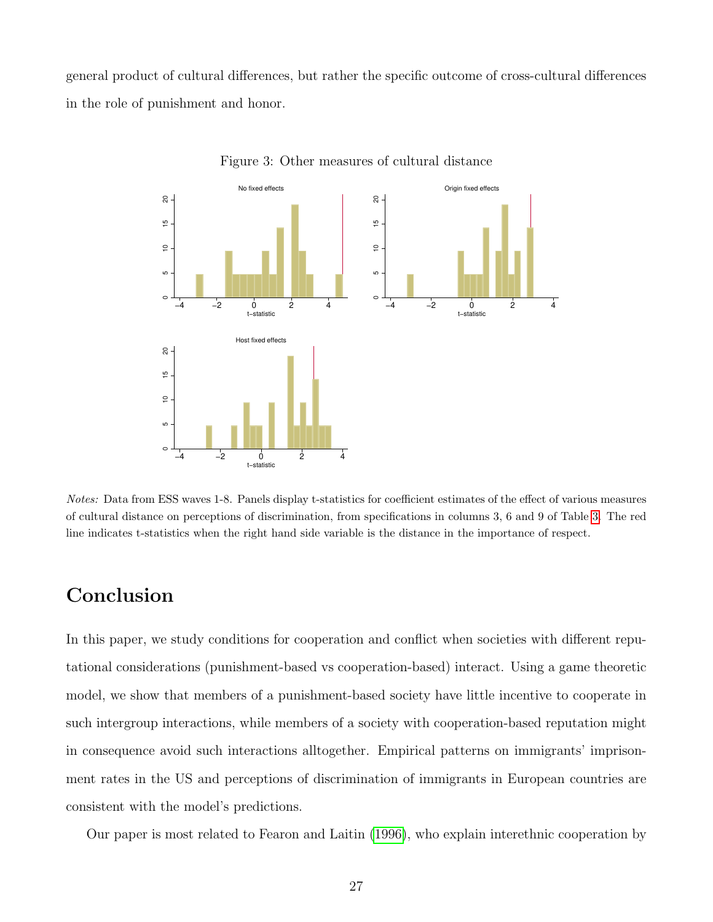general product of cultural differences, but rather the specific outcome of cross-cultural differences in the role of punishment and honor.



<span id="page-26-0"></span>Figure 3: Other measures of cultural distance

Notes: Data from ESS waves 1-8. Panels display t-statistics for coefficient estimates of the effect of various measures of cultural distance on perceptions of discrimination, from specifications in columns 3, 6 and 9 of Table [3.](#page-24-0) The red line indicates t-statistics when the right hand side variable is the distance in the importance of respect.

# Conclusion

In this paper, we study conditions for cooperation and conflict when societies with different reputational considerations (punishment-based vs cooperation-based) interact. Using a game theoretic model, we show that members of a punishment-based society have little incentive to cooperate in such intergroup interactions, while members of a society with cooperation-based reputation might in consequence avoid such interactions alltogether. Empirical patterns on immigrants' imprisonment rates in the US and perceptions of discrimination of immigrants in European countries are consistent with the model's predictions.

Our paper is most related to Fearon and Laitin [\(1996\)](#page-29-0), who explain interethnic cooperation by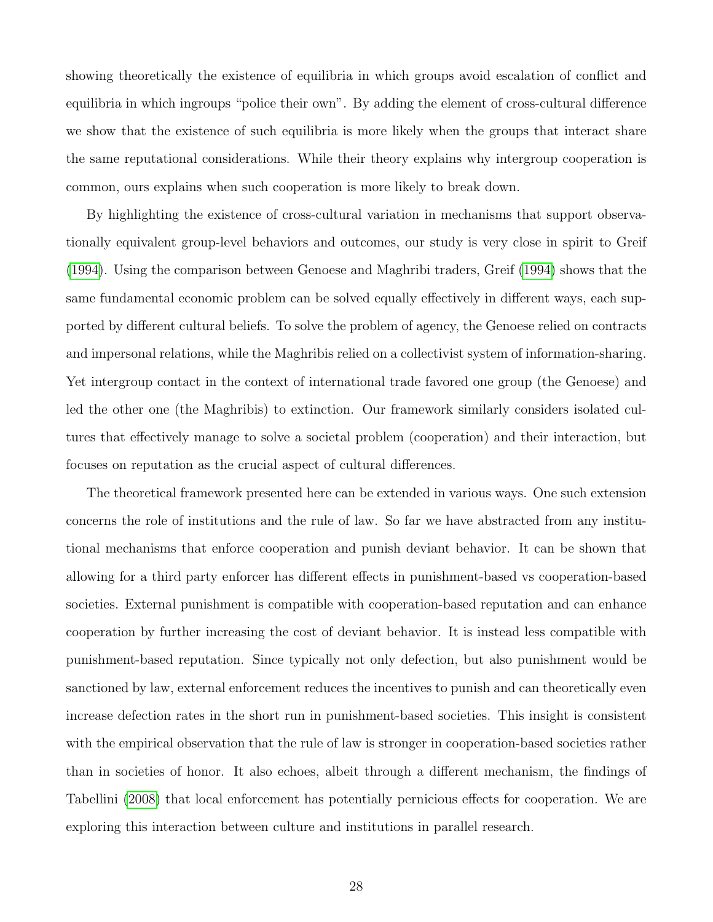showing theoretically the existence of equilibria in which groups avoid escalation of conflict and equilibria in which ingroups "police their own". By adding the element of cross-cultural difference we show that the existence of such equilibria is more likely when the groups that interact share the same reputational considerations. While their theory explains why intergroup cooperation is common, ours explains when such cooperation is more likely to break down.

By highlighting the existence of cross-cultural variation in mechanisms that support observationally equivalent group-level behaviors and outcomes, our study is very close in spirit to Greif [\(1994\)](#page-30-12). Using the comparison between Genoese and Maghribi traders, Greif [\(1994\)](#page-30-12) shows that the same fundamental economic problem can be solved equally effectively in different ways, each supported by different cultural beliefs. To solve the problem of agency, the Genoese relied on contracts and impersonal relations, while the Maghribis relied on a collectivist system of information-sharing. Yet intergroup contact in the context of international trade favored one group (the Genoese) and led the other one (the Maghribis) to extinction. Our framework similarly considers isolated cultures that effectively manage to solve a societal problem (cooperation) and their interaction, but focuses on reputation as the crucial aspect of cultural differences.

The theoretical framework presented here can be extended in various ways. One such extension concerns the role of institutions and the rule of law. So far we have abstracted from any institutional mechanisms that enforce cooperation and punish deviant behavior. It can be shown that allowing for a third party enforcer has different effects in punishment-based vs cooperation-based societies. External punishment is compatible with cooperation-based reputation and can enhance cooperation by further increasing the cost of deviant behavior. It is instead less compatible with punishment-based reputation. Since typically not only defection, but also punishment would be sanctioned by law, external enforcement reduces the incentives to punish and can theoretically even increase defection rates in the short run in punishment-based societies. This insight is consistent with the empirical observation that the rule of law is stronger in cooperation-based societies rather than in societies of honor. It also echoes, albeit through a different mechanism, the findings of Tabellini [\(2008\)](#page-32-11) that local enforcement has potentially pernicious effects for cooperation. We are exploring this interaction between culture and institutions in parallel research.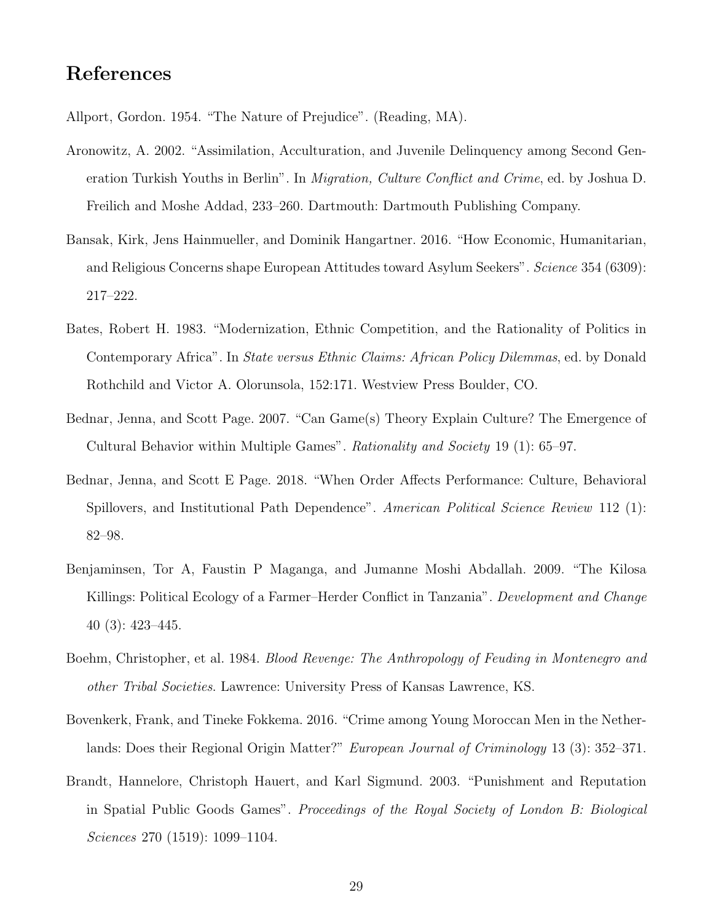# References

<span id="page-28-2"></span>Allport, Gordon. 1954. "The Nature of Prejudice". (Reading, MA).

- <span id="page-28-8"></span>Aronowitz, A. 2002. "Assimilation, Acculturation, and Juvenile Delinquency among Second Generation Turkish Youths in Berlin". In *Migration, Culture Conflict and Crime*, ed. by Joshua D. Freilich and Moshe Addad, 233–260. Dartmouth: Dartmouth Publishing Company.
- <span id="page-28-3"></span>Bansak, Kirk, Jens Hainmueller, and Dominik Hangartner. 2016. "How Economic, Humanitarian, and Religious Concerns shape European Attitudes toward Asylum Seekers". Science 354 (6309): 217–222.
- <span id="page-28-0"></span>Bates, Robert H. 1983. "Modernization, Ethnic Competition, and the Rationality of Politics in Contemporary Africa". In State versus Ethnic Claims: African Policy Dilemmas, ed. by Donald Rothchild and Victor A. Olorunsola, 152:171. Westview Press Boulder, CO.
- <span id="page-28-4"></span>Bednar, Jenna, and Scott Page. 2007. "Can Game(s) Theory Explain Culture? The Emergence of Cultural Behavior within Multiple Games". Rationality and Society 19 (1): 65–97.
- <span id="page-28-5"></span>Bednar, Jenna, and Scott E Page. 2018. "When Order Affects Performance: Culture, Behavioral Spillovers, and Institutional Path Dependence". American Political Science Review 112 (1): 82–98.
- <span id="page-28-7"></span>Benjaminsen, Tor A, Faustin P Maganga, and Jumanne Moshi Abdallah. 2009. "The Kilosa Killings: Political Ecology of a Farmer–Herder Conflict in Tanzania". Development and Change 40 (3): 423–445.
- <span id="page-28-6"></span>Boehm, Christopher, et al. 1984. Blood Revenge: The Anthropology of Feuding in Montenegro and other Tribal Societies. Lawrence: University Press of Kansas Lawrence, KS.
- <span id="page-28-9"></span>Bovenkerk, Frank, and Tineke Fokkema. 2016. "Crime among Young Moroccan Men in the Netherlands: Does their Regional Origin Matter?" European Journal of Criminology 13 (3): 352–371.
- <span id="page-28-1"></span>Brandt, Hannelore, Christoph Hauert, and Karl Sigmund. 2003. "Punishment and Reputation in Spatial Public Goods Games". Proceedings of the Royal Society of London B: Biological Sciences 270 (1519): 1099–1104.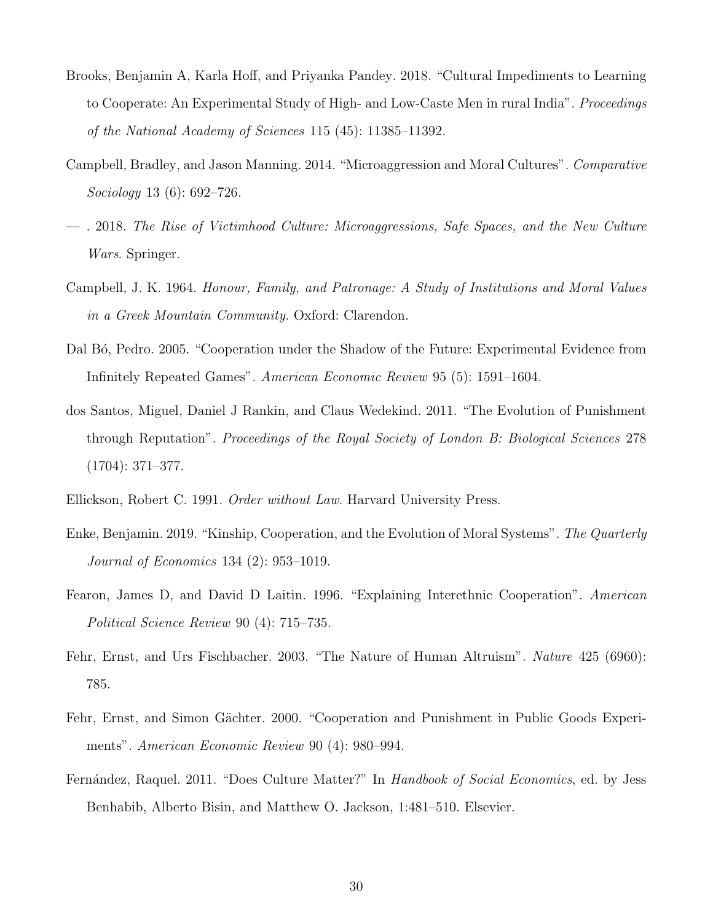- <span id="page-29-5"></span>Brooks, Benjamin A, Karla Hoff, and Priyanka Pandey. 2018. "Cultural Impediments to Learning to Cooperate: An Experimental Study of High- and Low-Caste Men in rural India". Proceedings of the National Academy of Sciences 115 (45): 11385–11392.
- <span id="page-29-8"></span>Campbell, Bradley, and Jason Manning. 2014. "Microaggression and Moral Cultures". Comparative Sociology 13 (6): 692–726.
- <span id="page-29-9"></span>— . 2018. The Rise of Victimhood Culture: Microaggressions, Safe Spaces, and the New Culture Wars. Springer.
- <span id="page-29-7"></span>Campbell, J. K. 1964. Honour, Family, and Patronage: A Study of Institutions and Moral Values in a Greek Mountain Community. Oxford: Clarendon.
- <span id="page-29-3"></span>Dal B<sub>0</sub>, Pedro. 2005. "Cooperation under the Shadow of the Future: Experimental Evidence from Infinitely Repeated Games". American Economic Review 95 (5): 1591–1604.
- <span id="page-29-4"></span>dos Santos, Miguel, Daniel J Rankin, and Claus Wedekind. 2011. "The Evolution of Punishment through Reputation". Proceedings of the Royal Society of London B: Biological Sciences 278 (1704): 371–377.
- <span id="page-29-10"></span>Ellickson, Robert C. 1991. Order without Law. Harvard University Press.
- <span id="page-29-6"></span>Enke, Benjamin. 2019. "Kinship, Cooperation, and the Evolution of Moral Systems". The Quarterly Journal of Economics 134 (2): 953–1019.
- <span id="page-29-0"></span>Fearon, James D, and David D Laitin. 1996. "Explaining Interethnic Cooperation". American Political Science Review 90 (4): 715–735.
- <span id="page-29-2"></span>Fehr, Ernst, and Urs Fischbacher. 2003. "The Nature of Human Altruism". Nature 425 (6960): 785.
- <span id="page-29-1"></span>Fehr, Ernst, and Simon Gächter. 2000. "Cooperation and Punishment in Public Goods Experiments". American Economic Review 90 (4): 980–994.
- <span id="page-29-11"></span>Fernández, Raquel. 2011. "Does Culture Matter?" In Handbook of Social Economics, ed. by Jess Benhabib, Alberto Bisin, and Matthew O. Jackson, 1:481–510. Elsevier.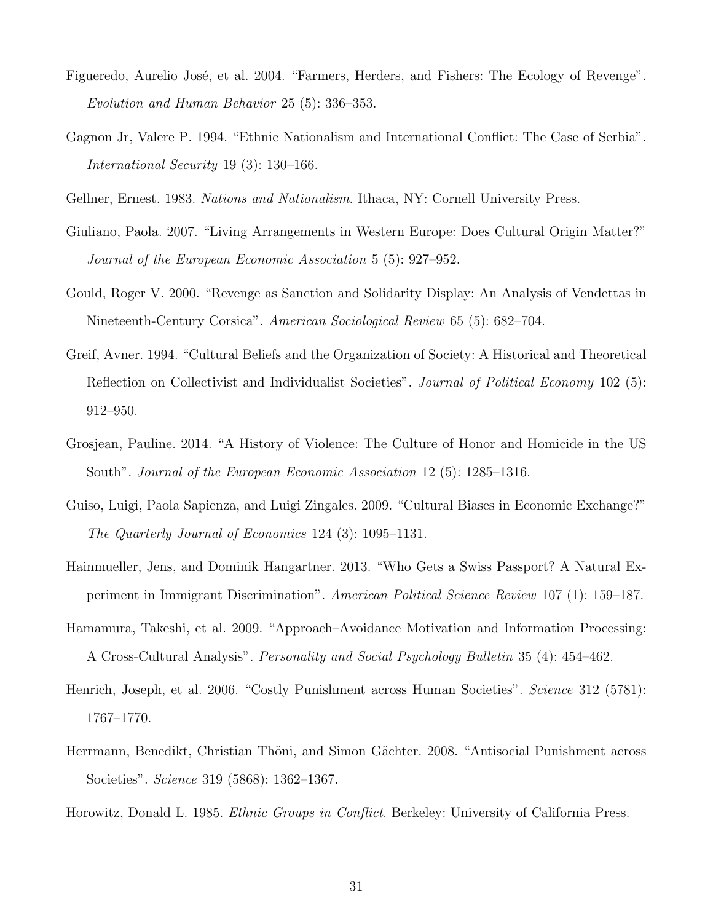- <span id="page-30-9"></span>Figueredo, Aurelio José, et al. 2004. "Farmers, Herders, and Fishers: The Ecology of Revenge". Evolution and Human Behavior 25 (5): 336–353.
- <span id="page-30-1"></span>Gagnon Jr, Valere P. 1994. "Ethnic Nationalism and International Conflict: The Case of Serbia". International Security 19 (3): 130–166.
- <span id="page-30-0"></span>Gellner, Ernest. 1983. Nations and Nationalism. Ithaca, NY: Cornell University Press.
- <span id="page-30-10"></span>Giuliano, Paola. 2007. "Living Arrangements in Western Europe: Does Cultural Origin Matter?" Journal of the European Economic Association 5 (5): 927–952.
- <span id="page-30-7"></span>Gould, Roger V. 2000. "Revenge as Sanction and Solidarity Display: An Analysis of Vendettas in Nineteenth-Century Corsica". American Sociological Review 65 (5): 682–704.
- <span id="page-30-12"></span>Greif, Avner. 1994. "Cultural Beliefs and the Organization of Society: A Historical and Theoretical Reflection on Collectivist and Individualist Societies". *Journal of Political Economy* 102 (5): 912–950.
- <span id="page-30-6"></span>Grosjean, Pauline. 2014. "A History of Violence: The Culture of Honor and Homicide in the US South". Journal of the European Economic Association 12 (5): 1285–1316.
- <span id="page-30-11"></span>Guiso, Luigi, Paola Sapienza, and Luigi Zingales. 2009. "Cultural Biases in Economic Exchange?" The Quarterly Journal of Economics 124 (3): 1095–1131.
- <span id="page-30-5"></span>Hainmueller, Jens, and Dominik Hangartner. 2013. "Who Gets a Swiss Passport? A Natural Experiment in Immigrant Discrimination". American Political Science Review 107 (1): 159–187.
- <span id="page-30-8"></span>Hamamura, Takeshi, et al. 2009. "Approach–Avoidance Motivation and Information Processing: A Cross-Cultural Analysis". Personality and Social Psychology Bulletin 35 (4): 454–462.
- <span id="page-30-2"></span>Henrich, Joseph, et al. 2006. "Costly Punishment across Human Societies". Science 312 (5781): 1767–1770.
- <span id="page-30-3"></span>Herrmann, Benedikt, Christian Thöni, and Simon Gächter. 2008. "Antisocial Punishment across Societies". Science 319 (5868): 1362–1367.
- <span id="page-30-4"></span>Horowitz, Donald L. 1985. Ethnic Groups in Conflict. Berkeley: University of California Press.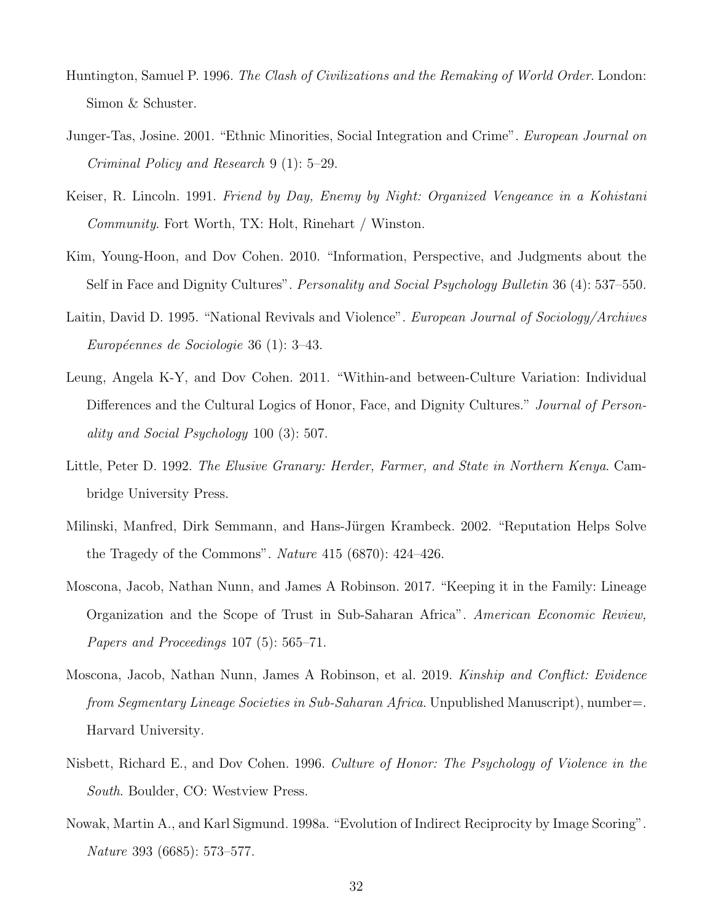- <span id="page-31-4"></span>Huntington, Samuel P. 1996. The Clash of Civilizations and the Remaking of World Order. London: Simon & Schuster.
- <span id="page-31-11"></span>Junger-Tas, Josine. 2001. "Ethnic Minorities, Social Integration and Crime". European Journal on Criminal Policy and Research 9 (1): 5–29.
- <span id="page-31-7"></span>Keiser, R. Lincoln. 1991. Friend by Day, Enemy by Night: Organized Vengeance in a Kohistani Community. Fort Worth, TX: Holt, Rinehart / Winston.
- <span id="page-31-9"></span>Kim, Young-Hoon, and Dov Cohen. 2010. "Information, Perspective, and Judgments about the Self in Face and Dignity Cultures". Personality and Social Psychology Bulletin 36 (4): 537–550.
- <span id="page-31-0"></span>Laitin, David D. 1995. "National Revivals and Violence". *European Journal of Sociology/Archives* Européennes de Sociologie 36 (1): 3–43.
- <span id="page-31-3"></span>Leung, Angela K-Y, and Dov Cohen. 2011. "Within-and between-Culture Variation: Individual Differences and the Cultural Logics of Honor, Face, and Dignity Cultures." Journal of Personality and Social Psychology 100 (3): 507.
- <span id="page-31-10"></span>Little, Peter D. 1992. The Elusive Granary: Herder, Farmer, and State in Northern Kenya. Cambridge University Press.
- <span id="page-31-2"></span>Milinski, Manfred, Dirk Semmann, and Hans-Jürgen Krambeck. 2002. "Reputation Helps Solve the Tragedy of the Commons". Nature 415 (6870): 424–426.
- <span id="page-31-5"></span>Moscona, Jacob, Nathan Nunn, and James A Robinson. 2017. "Keeping it in the Family: Lineage Organization and the Scope of Trust in Sub-Saharan Africa". American Economic Review, Papers and Proceedings 107 (5): 565–71.
- <span id="page-31-6"></span>Moscona, Jacob, Nathan Nunn, James A Robinson, et al. 2019. Kinship and Conflict: Evidence from Segmentary Lineage Societies in Sub-Saharan Africa. Unpublished Manuscript), number=. Harvard University.
- <span id="page-31-8"></span>Nisbett, Richard E., and Dov Cohen. 1996. Culture of Honor: The Psychology of Violence in the South. Boulder, CO: Westview Press.
- <span id="page-31-1"></span>Nowak, Martin A., and Karl Sigmund. 1998a. "Evolution of Indirect Reciprocity by Image Scoring". Nature 393 (6685): 573–577.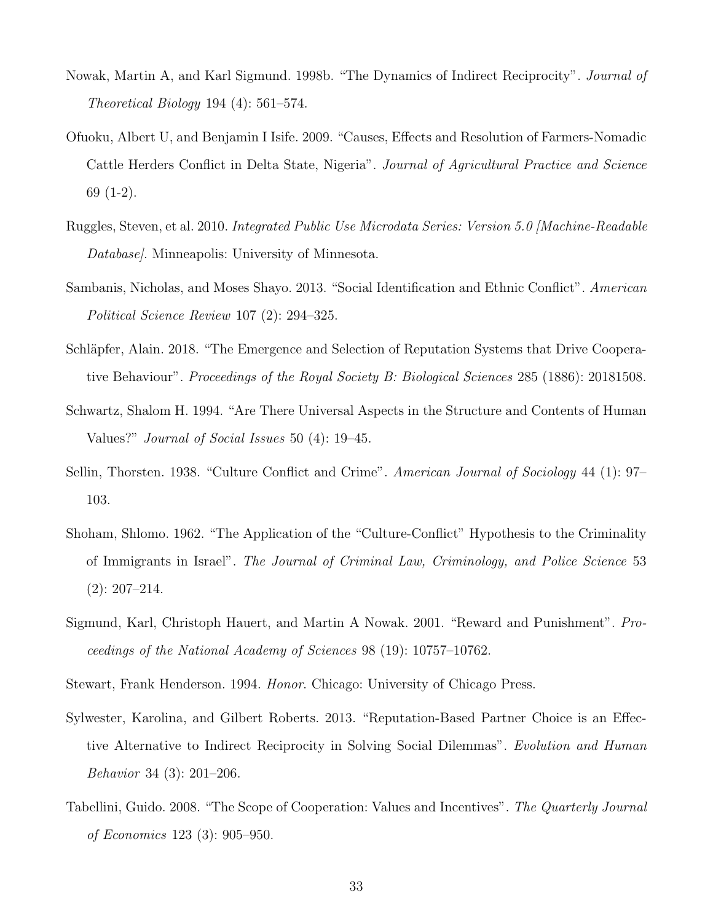- <span id="page-32-1"></span>Nowak, Martin A, and Karl Sigmund. 1998b. "The Dynamics of Indirect Reciprocity". *Journal of* Theoretical Biology 194 (4): 561–574.
- <span id="page-32-6"></span>Ofuoku, Albert U, and Benjamin I Isife. 2009. "Causes, Effects and Resolution of Farmers-Nomadic Cattle Herders Conflict in Delta State, Nigeria". Journal of Agricultural Practice and Science 69 (1-2).
- <span id="page-32-10"></span>Ruggles, Steven, et al. 2010. Integrated Public Use Microdata Series: Version 5.0 [Machine-Readable Database. Minneapolis: University of Minnesota.
- <span id="page-32-0"></span>Sambanis, Nicholas, and Moses Shayo. 2013. "Social Identification and Ethnic Conflict". American Political Science Review 107 (2): 294–325.
- <span id="page-32-4"></span>Schläpfer, Alain. 2018. "The Emergence and Selection of Reputation Systems that Drive Cooperative Behaviour". Proceedings of the Royal Society B: Biological Sciences 285 (1886): 20181508.
- <span id="page-32-9"></span>Schwartz, Shalom H. 1994. "Are There Universal Aspects in the Structure and Contents of Human Values?" Journal of Social Issues 50 (4): 19–45.
- <span id="page-32-7"></span>Sellin, Thorsten. 1938. "Culture Conflict and Crime". American Journal of Sociology 44 (1): 97– 103.
- <span id="page-32-8"></span>Shoham, Shlomo. 1962. "The Application of the "Culture-Conflict" Hypothesis to the Criminality of Immigrants in Israel". The Journal of Criminal Law, Criminology, and Police Science 53 (2): 207–214.
- <span id="page-32-2"></span>Sigmund, Karl, Christoph Hauert, and Martin A Nowak. 2001. "Reward and Punishment". Proceedings of the National Academy of Sciences 98 (19): 10757–10762.
- <span id="page-32-5"></span>Stewart, Frank Henderson. 1994. Honor. Chicago: University of Chicago Press.
- <span id="page-32-3"></span>Sylwester, Karolina, and Gilbert Roberts. 2013. "Reputation-Based Partner Choice is an Effective Alternative to Indirect Reciprocity in Solving Social Dilemmas". Evolution and Human Behavior 34 (3): 201–206.
- <span id="page-32-11"></span>Tabellini, Guido. 2008. "The Scope of Cooperation: Values and Incentives". The Quarterly Journal of Economics 123 (3): 905–950.